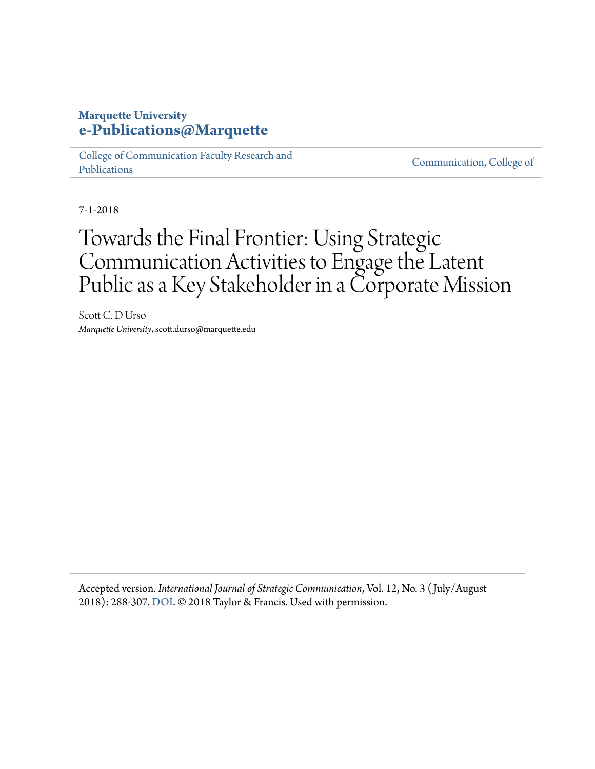## **Marquette University [e-Publications@Marquette](https://epublications.marquette.edu)**

[College of Communication Faculty Research and](https://epublications.marquette.edu/comm_fac) [Publications](https://epublications.marquette.edu/comm_fac)

[Communication, College of](https://epublications.marquette.edu/communication)

7-1-2018

## Towards the Final Frontier: Using Strategic Communication Activities to Engage the Latent Public as a Key Stakeholder in a Corporate Mission

Scott C. D'Urso *Marquette University*, scott.durso@marquette.edu

Accepted version*. International Journal of Strategic Communication*, Vol. 12, No. 3 ( July/August 2018): 288-307. [DOI](http://dx.doi.org/10.1080/1553118X.2018.1464008). © 2018 Taylor & Francis. Used with permission.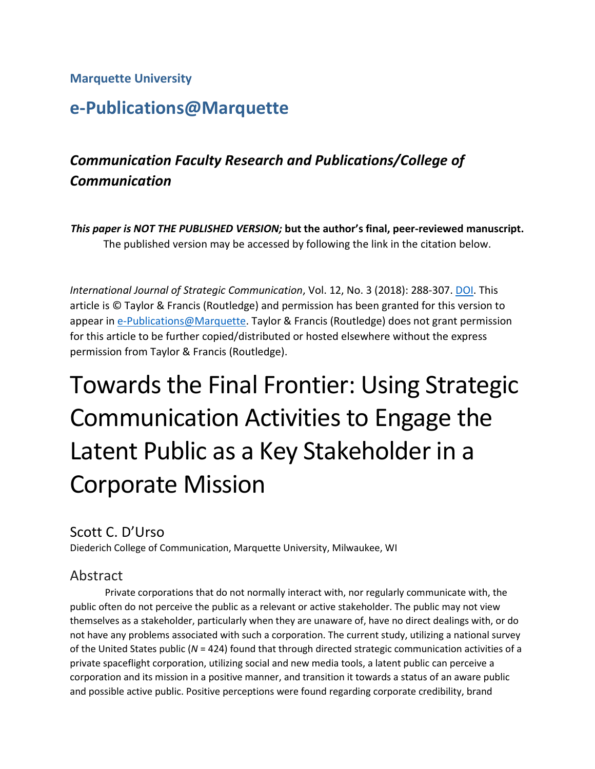#### **Marquette University**

## **e-Publications@Marquette**

## *Communication Faculty Research and Publications/College of Communication*

*This paper is NOT THE PUBLISHED VERSION;* **but the author's final, peer-reviewed manuscript.**  The published version may be accessed by following the link in the citation below.

*International Journal of Strategic Communication*, Vol. 12, No. 3 (2018): 288-307. [DOI.](https://doi.org/10.1080/1553118X.2018.1464008) This article is © Taylor & Francis (Routledge) and permission has been granted for this version to appear i[n e-Publications@Marquette.](http://epublications.marquette.edu/) Taylor & Francis (Routledge) does not grant permission for this article to be further copied/distributed or hosted elsewhere without the express permission from Taylor & Francis (Routledge).

# Towards the Final Frontier: Using Strategic Communication Activities to Engage the Latent Public as a Key Stakeholder in a Corporate Mission

## Scott C. D'Urso

Diederich College of Communication, Marquette University, Milwaukee, WI

## Abstract

Private corporations that do not normally interact with, nor regularly communicate with, the public often do not perceive the public as a relevant or active stakeholder. The public may not view themselves as a stakeholder, particularly when they are unaware of, have no direct dealings with, or do not have any problems associated with such a corporation. The current study, utilizing a national survey of the United States public (*N* = 424) found that through directed strategic communication activities of a private spaceflight corporation, utilizing social and new media tools, a latent public can perceive a corporation and its mission in a positive manner, and transition it towards a status of an aware public and possible active public. Positive perceptions were found regarding corporate credibility, brand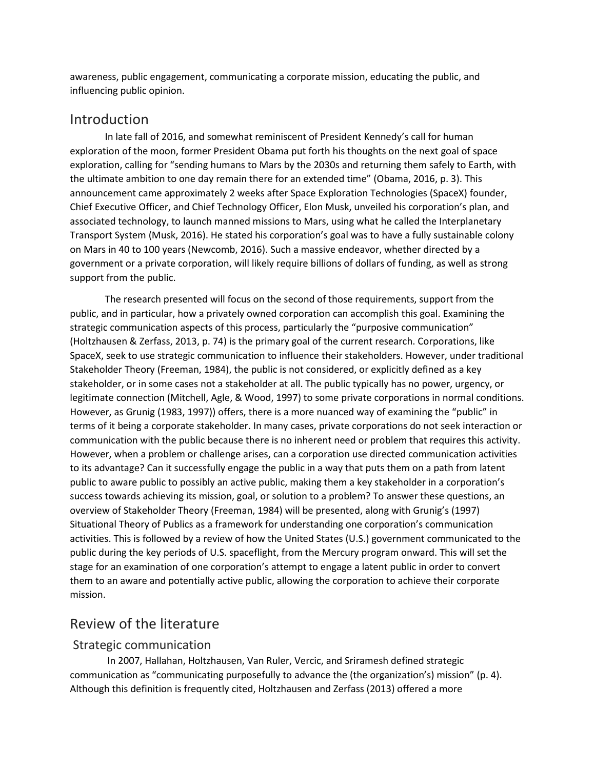awareness, public engagement, communicating a corporate mission, educating the public, and influencing public opinion.

### Introduction

In late fall of 2016, and somewhat reminiscent of President Kennedy's call for human exploration of the moon, former President Obama put forth his thoughts on the next goal of space exploration, calling for "sending humans to Mars by the 2030s and returning them safely to Earth, with the ultimate ambition to one day remain there for an extended time" (Obama, 2016, p. 3). This announcement came approximately 2 weeks after Space Exploration Technologies (SpaceX) founder, Chief Executive Officer, and Chief Technology Officer, Elon Musk, unveiled his corporation's plan, and associated technology, to launch manned missions to Mars, using what he called the Interplanetary Transport System (Musk, 2016). He stated his corporation's goal was to have a fully sustainable colony on Mars in 40 to 100 years (Newcomb, 2016). Such a massive endeavor, whether directed by a government or a private corporation, will likely require billions of dollars of funding, as well as strong support from the public.

The research presented will focus on the second of those requirements, support from the public, and in particular, how a privately owned corporation can accomplish this goal. Examining the strategic communication aspects of this process, particularly the "purposive communication" (Holtzhausen & Zerfass, 2013, p. 74) is the primary goal of the current research. Corporations, like SpaceX, seek to use strategic communication to influence their stakeholders. However, under traditional Stakeholder Theory (Freeman, 1984), the public is not considered, or explicitly defined as a key stakeholder, or in some cases not a stakeholder at all. The public typically has no power, urgency, or legitimate connection (Mitchell, Agle, & Wood, 1997) to some private corporations in normal conditions. However, as Grunig (1983, 1997)) offers, there is a more nuanced way of examining the "public" in terms of it being a corporate stakeholder. In many cases, private corporations do not seek interaction or communication with the public because there is no inherent need or problem that requires this activity. However, when a problem or challenge arises, can a corporation use directed communication activities to its advantage? Can it successfully engage the public in a way that puts them on a path from latent public to aware public to possibly an active public, making them a key stakeholder in a corporation's success towards achieving its mission, goal, or solution to a problem? To answer these questions, an overview of Stakeholder Theory (Freeman, 1984) will be presented, along with Grunig's (1997) Situational Theory of Publics as a framework for understanding one corporation's communication activities. This is followed by a review of how the United States (U.S.) government communicated to the public during the key periods of U.S. spaceflight, from the Mercury program onward. This will set the stage for an examination of one corporation's attempt to engage a latent public in order to convert them to an aware and potentially active public, allowing the corporation to achieve their corporate mission.

## Review of the literature

#### Strategic communication

In 2007, Hallahan, Holtzhausen, Van Ruler, Vercic, and Sriramesh defined strategic communication as "communicating purposefully to advance the (the organization's) mission" (p. 4). Although this definition is frequently cited, Holtzhausen and Zerfass (2013) offered a more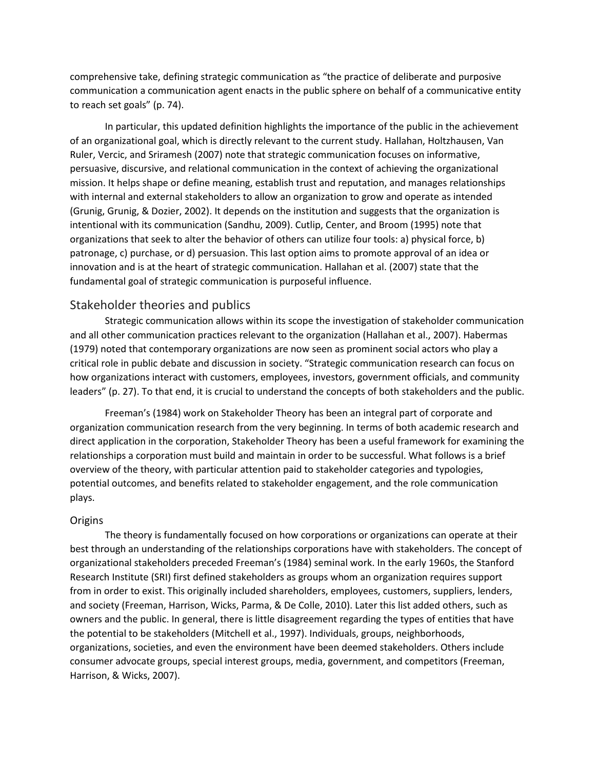comprehensive take, defining strategic communication as "the practice of deliberate and purposive communication a communication agent enacts in the public sphere on behalf of a communicative entity to reach set goals" (p. 74).

In particular, this updated definition highlights the importance of the public in the achievement of an organizational goal, which is directly relevant to the current study. Hallahan, Holtzhausen, Van Ruler, Vercic, and Sriramesh (2007) note that strategic communication focuses on informative, persuasive, discursive, and relational communication in the context of achieving the organizational mission. It helps shape or define meaning, establish trust and reputation, and manages relationships with internal and external stakeholders to allow an organization to grow and operate as intended (Grunig, Grunig, & Dozier, 2002). It depends on the institution and suggests that the organization is intentional with its communication (Sandhu, 2009). Cutlip, Center, and Broom (1995) note that organizations that seek to alter the behavior of others can utilize four tools: a) physical force, b) patronage, c) purchase, or d) persuasion. This last option aims to promote approval of an idea or innovation and is at the heart of strategic communication. Hallahan et al. (2007) state that the fundamental goal of strategic communication is purposeful influence.

#### Stakeholder theories and publics

Strategic communication allows within its scope the investigation of stakeholder communication and all other communication practices relevant to the organization (Hallahan et al., 2007). Habermas (1979) noted that contemporary organizations are now seen as prominent social actors who play a critical role in public debate and discussion in society. "Strategic communication research can focus on how organizations interact with customers, employees, investors, government officials, and community leaders" (p. 27). To that end, it is crucial to understand the concepts of both stakeholders and the public.

Freeman's (1984) work on Stakeholder Theory has been an integral part of corporate and organization communication research from the very beginning. In terms of both academic research and direct application in the corporation, Stakeholder Theory has been a useful framework for examining the relationships a corporation must build and maintain in order to be successful. What follows is a brief overview of the theory, with particular attention paid to stakeholder categories and typologies, potential outcomes, and benefits related to stakeholder engagement, and the role communication plays.

#### **Origins**

The theory is fundamentally focused on how corporations or organizations can operate at their best through an understanding of the relationships corporations have with stakeholders. The concept of organizational stakeholders preceded Freeman's (1984) seminal work. In the early 1960s, the Stanford Research Institute (SRI) first defined stakeholders as groups whom an organization requires support from in order to exist. This originally included shareholders, employees, customers, suppliers, lenders, and society (Freeman, Harrison, Wicks, Parma, & De Colle, 2010). Later this list added others, such as owners and the public. In general, there is little disagreement regarding the types of entities that have the potential to be stakeholders (Mitchell et al., 1997). Individuals, groups, neighborhoods, organizations, societies, and even the environment have been deemed stakeholders. Others include consumer advocate groups, special interest groups, media, government, and competitors (Freeman, Harrison, & Wicks, 2007).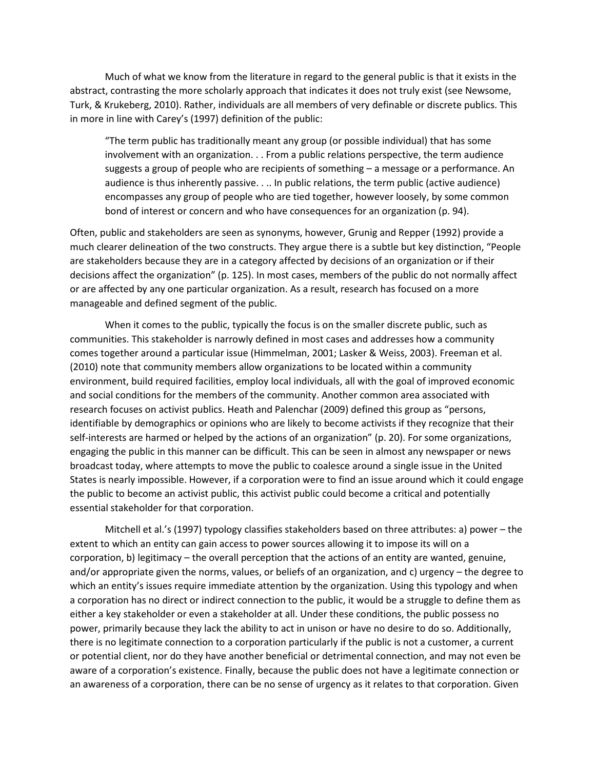Much of what we know from the literature in regard to the general public is that it exists in the abstract, contrasting the more scholarly approach that indicates it does not truly exist (see Newsome, Turk, & Krukeberg, 2010). Rather, individuals are all members of very definable or discrete publics. This in more in line with Carey's (1997) definition of the public:

"The term public has traditionally meant any group (or possible individual) that has some involvement with an organization. . . From a public relations perspective, the term audience suggests a group of people who are recipients of something – a message or a performance. An audience is thus inherently passive. . .. In public relations, the term public (active audience) encompasses any group of people who are tied together, however loosely, by some common bond of interest or concern and who have consequences for an organization (p. 94).

Often, public and stakeholders are seen as synonyms, however, Grunig and Repper (1992) provide a much clearer delineation of the two constructs. They argue there is a subtle but key distinction, "People are stakeholders because they are in a category affected by decisions of an organization or if their decisions affect the organization" (p. 125). In most cases, members of the public do not normally affect or are affected by any one particular organization. As a result, research has focused on a more manageable and defined segment of the public.

When it comes to the public, typically the focus is on the smaller discrete public, such as communities. This stakeholder is narrowly defined in most cases and addresses how a community comes together around a particular issue (Himmelman, 2001; Lasker & Weiss, 2003). Freeman et al. (2010) note that community members allow organizations to be located within a community environment, build required facilities, employ local individuals, all with the goal of improved economic and social conditions for the members of the community. Another common area associated with research focuses on activist publics. Heath and Palenchar (2009) defined this group as "persons, identifiable by demographics or opinions who are likely to become activists if they recognize that their self-interests are harmed or helped by the actions of an organization" (p. 20). For some organizations, engaging the public in this manner can be difficult. This can be seen in almost any newspaper or news broadcast today, where attempts to move the public to coalesce around a single issue in the United States is nearly impossible. However, if a corporation were to find an issue around which it could engage the public to become an activist public, this activist public could become a critical and potentially essential stakeholder for that corporation.

Mitchell et al.'s (1997) typology classifies stakeholders based on three attributes: a) power – the extent to which an entity can gain access to power sources allowing it to impose its will on a corporation, b) legitimacy – the overall perception that the actions of an entity are wanted, genuine, and/or appropriate given the norms, values, or beliefs of an organization, and c) urgency – the degree to which an entity's issues require immediate attention by the organization. Using this typology and when a corporation has no direct or indirect connection to the public, it would be a struggle to define them as either a key stakeholder or even a stakeholder at all. Under these conditions, the public possess no power, primarily because they lack the ability to act in unison or have no desire to do so. Additionally, there is no legitimate connection to a corporation particularly if the public is not a customer, a current or potential client, nor do they have another beneficial or detrimental connection, and may not even be aware of a corporation's existence. Finally, because the public does not have a legitimate connection or an awareness of a corporation, there can be no sense of urgency as it relates to that corporation. Given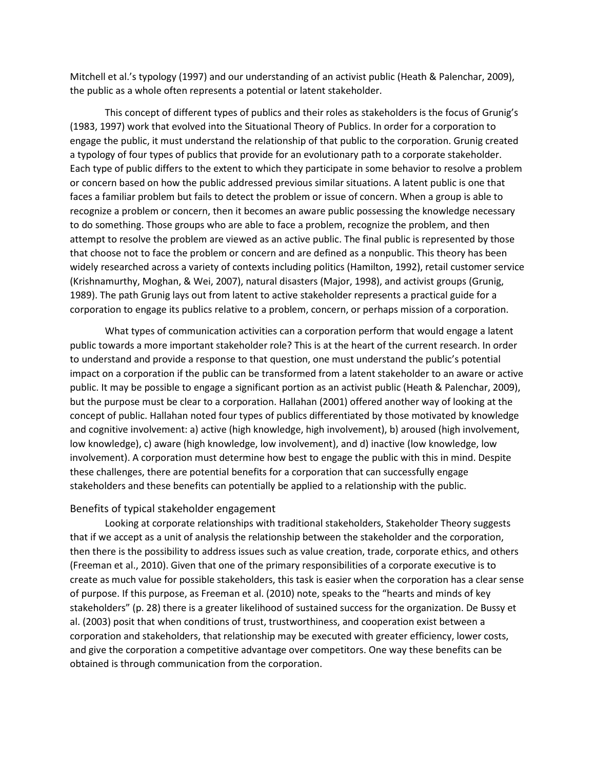Mitchell et al.'s typology (1997) and our understanding of an activist public (Heath & Palenchar, 2009), the public as a whole often represents a potential or latent stakeholder.

This concept of different types of publics and their roles as stakeholders is the focus of Grunig's (1983, 1997) work that evolved into the Situational Theory of Publics. In order for a corporation to engage the public, it must understand the relationship of that public to the corporation. Grunig created a typology of four types of publics that provide for an evolutionary path to a corporate stakeholder. Each type of public differs to the extent to which they participate in some behavior to resolve a problem or concern based on how the public addressed previous similar situations. A latent public is one that faces a familiar problem but fails to detect the problem or issue of concern. When a group is able to recognize a problem or concern, then it becomes an aware public possessing the knowledge necessary to do something. Those groups who are able to face a problem, recognize the problem, and then attempt to resolve the problem are viewed as an active public. The final public is represented by those that choose not to face the problem or concern and are defined as a nonpublic. This theory has been widely researched across a variety of contexts including politics (Hamilton, 1992), retail customer service (Krishnamurthy, Moghan, & Wei, 2007), natural disasters (Major, 1998), and activist groups (Grunig, 1989). The path Grunig lays out from latent to active stakeholder represents a practical guide for a corporation to engage its publics relative to a problem, concern, or perhaps mission of a corporation.

What types of communication activities can a corporation perform that would engage a latent public towards a more important stakeholder role? This is at the heart of the current research. In order to understand and provide a response to that question, one must understand the public's potential impact on a corporation if the public can be transformed from a latent stakeholder to an aware or active public. It may be possible to engage a significant portion as an activist public (Heath & Palenchar, 2009), but the purpose must be clear to a corporation. Hallahan (2001) offered another way of looking at the concept of public. Hallahan noted four types of publics differentiated by those motivated by knowledge and cognitive involvement: a) active (high knowledge, high involvement), b) aroused (high involvement, low knowledge), c) aware (high knowledge, low involvement), and d) inactive (low knowledge, low involvement). A corporation must determine how best to engage the public with this in mind. Despite these challenges, there are potential benefits for a corporation that can successfully engage stakeholders and these benefits can potentially be applied to a relationship with the public.

#### Benefits of typical stakeholder engagement

Looking at corporate relationships with traditional stakeholders, Stakeholder Theory suggests that if we accept as a unit of analysis the relationship between the stakeholder and the corporation, then there is the possibility to address issues such as value creation, trade, corporate ethics, and others (Freeman et al., 2010). Given that one of the primary responsibilities of a corporate executive is to create as much value for possible stakeholders, this task is easier when the corporation has a clear sense of purpose. If this purpose, as Freeman et al. (2010) note, speaks to the "hearts and minds of key stakeholders" (p. 28) there is a greater likelihood of sustained success for the organization. De Bussy et al. (2003) posit that when conditions of trust, trustworthiness, and cooperation exist between a corporation and stakeholders, that relationship may be executed with greater efficiency, lower costs, and give the corporation a competitive advantage over competitors. One way these benefits can be obtained is through communication from the corporation.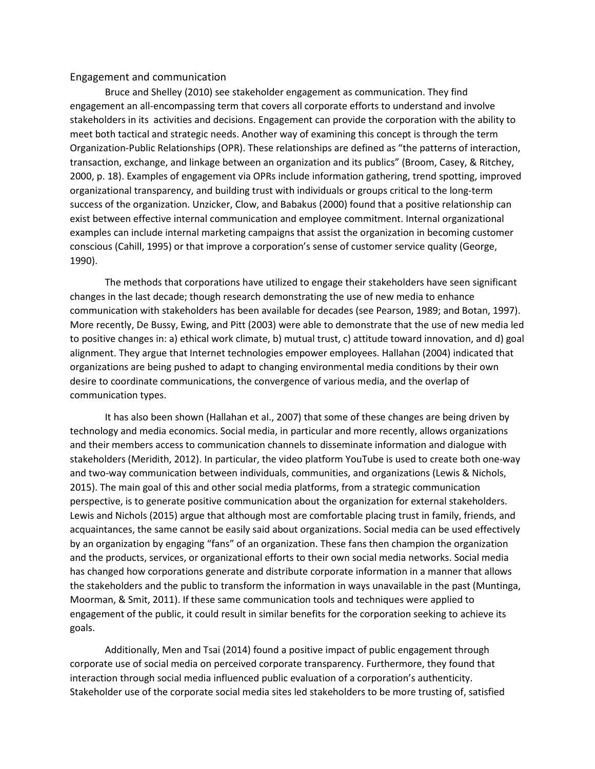#### Engagement and communication

Bruce and Shelley (2010) see stakeholder engagement as communication. They find engagement an all-encompassing term that covers all corporate efforts to understand and involve stakeholders in its activities and decisions. Engagement can provide the corporation with the ability to meet both tactical and strategic needs. Another way of examining this concept is through the term Organization-Public Relationships (OPR). These relationships are defined as "the patterns of interaction, transaction, exchange, and linkage between an organization and its publics" (Broom, Casey, & Ritchey, 2000, p. 18). Examples of engagement via OPRs include information gathering, trend spotting, improved organizational transparency, and building trust with individuals or groups critical to the long-term success of the organization. Unzicker, Clow, and Babakus (2000) found that a positive relationship can exist between effective internal communication and employee commitment. Internal organizational examples can include internal marketing campaigns that assist the organization in becoming customer conscious (Cahill, 1995) or that improve a corporation's sense of customer service quality (George, 1990).

The methods that corporations have utilized to engage their stakeholders have seen significant changes in the last decade; though research demonstrating the use of new media to enhance communication with stakeholders has been available for decades (see Pearson, 1989; and Botan, 1997). More recently, De Bussy, Ewing, and Pitt (2003) were able to demonstrate that the use of new media led to positive changes in: a) ethical work climate, b) mutual trust, c) attitude toward innovation, and d) goal alignment. They argue that Internet technologies empower employees. Hallahan (2004) indicated that organizations are being pushed to adapt to changing environmental media conditions by their own desire to coordinate communications, the convergence of various media, and the overlap of communication types.

It has also been shown (Hallahan et al., 2007) that some of these changes are being driven by technology and media economics. Social media, in particular and more recently, allows organizations and their members access to communication channels to disseminate information and dialogue with stakeholders (Meridith, 2012). In particular, the video platform YouTube is used to create both one-way and two-way communication between individuals, communities, and organizations (Lewis & Nichols, 2015). The main goal of this and other social media platforms, from a strategic communication perspective, is to generate positive communication about the organization for external stakeholders. Lewis and Nichols (2015) argue that although most are comfortable placing trust in family, friends, and acquaintances, the same cannot be easily said about organizations. Social media can be used effectively by an organization by engaging "fans" of an organization. These fans then champion the organization and the products, services, or organizational efforts to their own social media networks. Social media has changed how corporations generate and distribute corporate information in a manner that allows the stakeholders and the public to transform the information in ways unavailable in the past (Muntinga, Moorman, & Smit, 2011). If these same communication tools and techniques were applied to engagement of the public, it could result in similar benefits for the corporation seeking to achieve its goals.

Additionally, Men and Tsai (2014) found a positive impact of public engagement through corporate use of social media on perceived corporate transparency. Furthermore, they found that interaction through social media influenced public evaluation of a corporation's authenticity. Stakeholder use of the corporate social media sites led stakeholders to be more trusting of, satisfied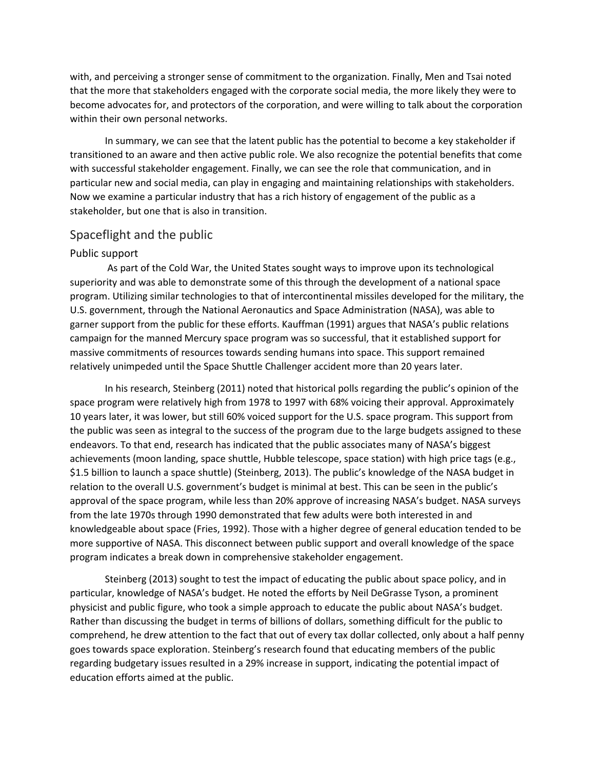with, and perceiving a stronger sense of commitment to the organization. Finally, Men and Tsai noted that the more that stakeholders engaged with the corporate social media, the more likely they were to become advocates for, and protectors of the corporation, and were willing to talk about the corporation within their own personal networks.

In summary, we can see that the latent public has the potential to become a key stakeholder if transitioned to an aware and then active public role. We also recognize the potential benefits that come with successful stakeholder engagement. Finally, we can see the role that communication, and in particular new and social media, can play in engaging and maintaining relationships with stakeholders. Now we examine a particular industry that has a rich history of engagement of the public as a stakeholder, but one that is also in transition.

#### Spaceflight and the public

#### Public support

As part of the Cold War, the United States sought ways to improve upon its technological superiority and was able to demonstrate some of this through the development of a national space program. Utilizing similar technologies to that of intercontinental missiles developed for the military, the U.S. government, through the National Aeronautics and Space Administration (NASA), was able to garner support from the public for these efforts. Kauffman (1991) argues that NASA's public relations campaign for the manned Mercury space program was so successful, that it established support for massive commitments of resources towards sending humans into space. This support remained relatively unimpeded until the Space Shuttle Challenger accident more than 20 years later.

In his research, Steinberg (2011) noted that historical polls regarding the public's opinion of the space program were relatively high from 1978 to 1997 with 68% voicing their approval. Approximately 10 years later, it was lower, but still 60% voiced support for the U.S. space program. This support from the public was seen as integral to the success of the program due to the large budgets assigned to these endeavors. To that end, research has indicated that the public associates many of NASA's biggest achievements (moon landing, space shuttle, Hubble telescope, space station) with high price tags (e.g., \$1.5 billion to launch a space shuttle) (Steinberg, 2013). The public's knowledge of the NASA budget in relation to the overall U.S. government's budget is minimal at best. This can be seen in the public's approval of the space program, while less than 20% approve of increasing NASA's budget. NASA surveys from the late 1970s through 1990 demonstrated that few adults were both interested in and knowledgeable about space (Fries, 1992). Those with a higher degree of general education tended to be more supportive of NASA. This disconnect between public support and overall knowledge of the space program indicates a break down in comprehensive stakeholder engagement.

Steinberg (2013) sought to test the impact of educating the public about space policy, and in particular, knowledge of NASA's budget. He noted the efforts by Neil DeGrasse Tyson, a prominent physicist and public figure, who took a simple approach to educate the public about NASA's budget. Rather than discussing the budget in terms of billions of dollars, something difficult for the public to comprehend, he drew attention to the fact that out of every tax dollar collected, only about a half penny goes towards space exploration. Steinberg's research found that educating members of the public regarding budgetary issues resulted in a 29% increase in support, indicating the potential impact of education efforts aimed at the public.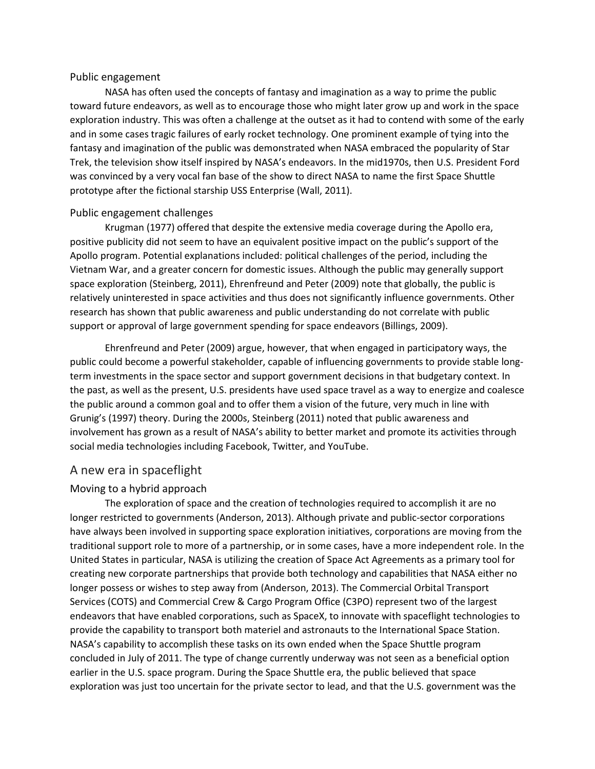#### Public engagement

NASA has often used the concepts of fantasy and imagination as a way to prime the public toward future endeavors, as well as to encourage those who might later grow up and work in the space exploration industry. This was often a challenge at the outset as it had to contend with some of the early and in some cases tragic failures of early rocket technology. One prominent example of tying into the fantasy and imagination of the public was demonstrated when NASA embraced the popularity of Star Trek, the television show itself inspired by NASA's endeavors. In the mid1970s, then U.S. President Ford was convinced by a very vocal fan base of the show to direct NASA to name the first Space Shuttle prototype after the fictional starship USS Enterprise (Wall, 2011).

#### Public engagement challenges

Krugman (1977) offered that despite the extensive media coverage during the Apollo era, positive publicity did not seem to have an equivalent positive impact on the public's support of the Apollo program. Potential explanations included: political challenges of the period, including the Vietnam War, and a greater concern for domestic issues. Although the public may generally support space exploration (Steinberg, 2011), Ehrenfreund and Peter (2009) note that globally, the public is relatively uninterested in space activities and thus does not significantly influence governments. Other research has shown that public awareness and public understanding do not correlate with public support or approval of large government spending for space endeavors (Billings, 2009).

Ehrenfreund and Peter (2009) argue, however, that when engaged in participatory ways, the public could become a powerful stakeholder, capable of influencing governments to provide stable longterm investments in the space sector and support government decisions in that budgetary context. In the past, as well as the present, U.S. presidents have used space travel as a way to energize and coalesce the public around a common goal and to offer them a vision of the future, very much in line with Grunig's (1997) theory. During the 2000s, Steinberg (2011) noted that public awareness and involvement has grown as a result of NASA's ability to better market and promote its activities through social media technologies including Facebook, Twitter, and YouTube.

#### A new era in spaceflight

#### Moving to a hybrid approach

The exploration of space and the creation of technologies required to accomplish it are no longer restricted to governments (Anderson, 2013). Although private and public-sector corporations have always been involved in supporting space exploration initiatives, corporations are moving from the traditional support role to more of a partnership, or in some cases, have a more independent role. In the United States in particular, NASA is utilizing the creation of Space Act Agreements as a primary tool for creating new corporate partnerships that provide both technology and capabilities that NASA either no longer possess or wishes to step away from (Anderson, 2013). The Commercial Orbital Transport Services (COTS) and Commercial Crew & Cargo Program Office (C3PO) represent two of the largest endeavors that have enabled corporations, such as SpaceX, to innovate with spaceflight technologies to provide the capability to transport both materiel and astronauts to the International Space Station. NASA's capability to accomplish these tasks on its own ended when the Space Shuttle program concluded in July of 2011. The type of change currently underway was not seen as a beneficial option earlier in the U.S. space program. During the Space Shuttle era, the public believed that space exploration was just too uncertain for the private sector to lead, and that the U.S. government was the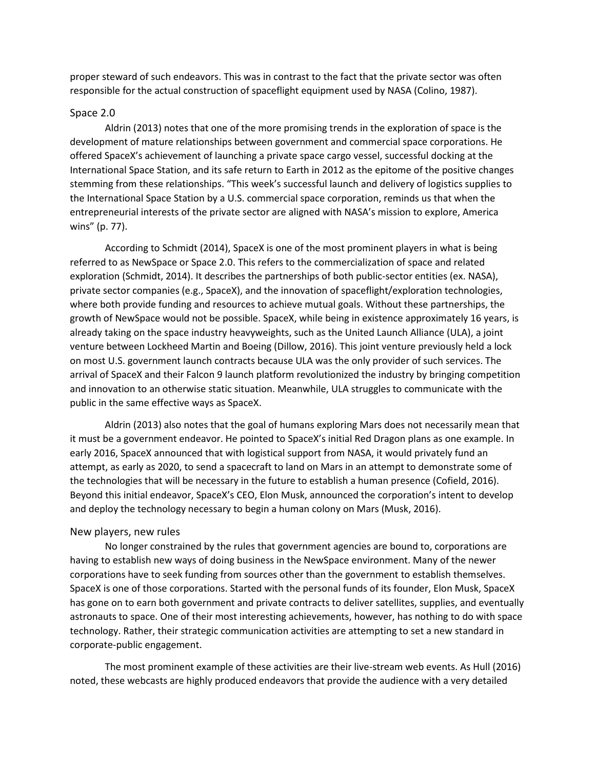proper steward of such endeavors. This was in contrast to the fact that the private sector was often responsible for the actual construction of spaceflight equipment used by NASA (Colino, 1987).

#### Space 2.0

Aldrin (2013) notes that one of the more promising trends in the exploration of space is the development of mature relationships between government and commercial space corporations. He offered SpaceX's achievement of launching a private space cargo vessel, successful docking at the International Space Station, and its safe return to Earth in 2012 as the epitome of the positive changes stemming from these relationships. "This week's successful launch and delivery of logistics supplies to the International Space Station by a U.S. commercial space corporation, reminds us that when the entrepreneurial interests of the private sector are aligned with NASA's mission to explore, America wins" (p. 77).

According to Schmidt (2014), SpaceX is one of the most prominent players in what is being referred to as NewSpace or Space 2.0. This refers to the commercialization of space and related exploration (Schmidt, 2014). It describes the partnerships of both public-sector entities (ex. NASA), private sector companies (e.g., SpaceX), and the innovation of spaceflight/exploration technologies, where both provide funding and resources to achieve mutual goals. Without these partnerships, the growth of NewSpace would not be possible. SpaceX, while being in existence approximately 16 years, is already taking on the space industry heavyweights, such as the United Launch Alliance (ULA), a joint venture between Lockheed Martin and Boeing (Dillow, 2016). This joint venture previously held a lock on most U.S. government launch contracts because ULA was the only provider of such services. The arrival of SpaceX and their Falcon 9 launch platform revolutionized the industry by bringing competition and innovation to an otherwise static situation. Meanwhile, ULA struggles to communicate with the public in the same effective ways as SpaceX.

Aldrin (2013) also notes that the goal of humans exploring Mars does not necessarily mean that it must be a government endeavor. He pointed to SpaceX's initial Red Dragon plans as one example. In early 2016, SpaceX announced that with logistical support from NASA, it would privately fund an attempt, as early as 2020, to send a spacecraft to land on Mars in an attempt to demonstrate some of the technologies that will be necessary in the future to establish a human presence (Cofield, 2016). Beyond this initial endeavor, SpaceX's CEO, Elon Musk, announced the corporation's intent to develop and deploy the technology necessary to begin a human colony on Mars (Musk, 2016).

#### New players, new rules

No longer constrained by the rules that government agencies are bound to, corporations are having to establish new ways of doing business in the NewSpace environment. Many of the newer corporations have to seek funding from sources other than the government to establish themselves. SpaceX is one of those corporations. Started with the personal funds of its founder, Elon Musk, SpaceX has gone on to earn both government and private contracts to deliver satellites, supplies, and eventually astronauts to space. One of their most interesting achievements, however, has nothing to do with space technology. Rather, their strategic communication activities are attempting to set a new standard in corporate-public engagement.

The most prominent example of these activities are their live-stream web events. As Hull (2016) noted, these webcasts are highly produced endeavors that provide the audience with a very detailed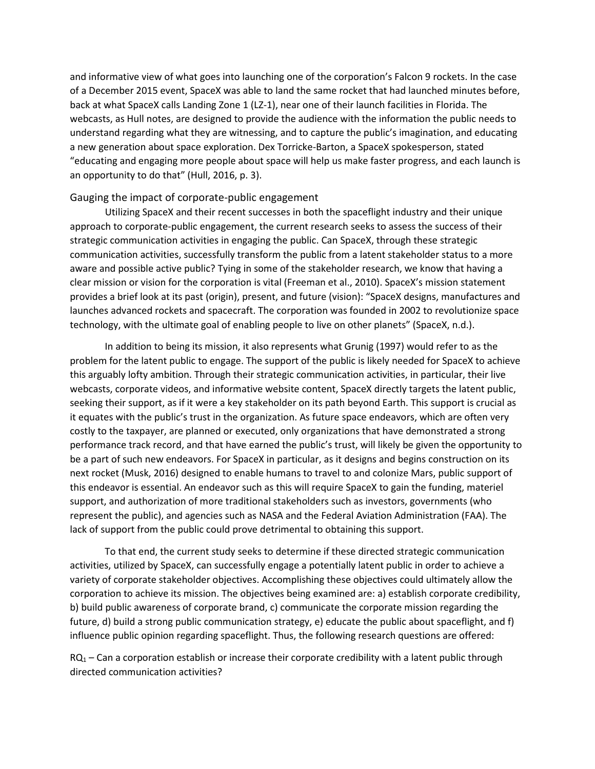and informative view of what goes into launching one of the corporation's Falcon 9 rockets. In the case of a December 2015 event, SpaceX was able to land the same rocket that had launched minutes before, back at what SpaceX calls Landing Zone 1 (LZ-1), near one of their launch facilities in Florida. The webcasts, as Hull notes, are designed to provide the audience with the information the public needs to understand regarding what they are witnessing, and to capture the public's imagination, and educating a new generation about space exploration. Dex Torricke-Barton, a SpaceX spokesperson, stated "educating and engaging more people about space will help us make faster progress, and each launch is an opportunity to do that" (Hull, 2016, p. 3).

#### Gauging the impact of corporate-public engagement

Utilizing SpaceX and their recent successes in both the spaceflight industry and their unique approach to corporate-public engagement, the current research seeks to assess the success of their strategic communication activities in engaging the public. Can SpaceX, through these strategic communication activities, successfully transform the public from a latent stakeholder status to a more aware and possible active public? Tying in some of the stakeholder research, we know that having a clear mission or vision for the corporation is vital (Freeman et al., 2010). SpaceX's mission statement provides a brief look at its past (origin), present, and future (vision): "SpaceX designs, manufactures and launches advanced rockets and spacecraft. The corporation was founded in 2002 to revolutionize space technology, with the ultimate goal of enabling people to live on other planets" (SpaceX, n.d.).

In addition to being its mission, it also represents what Grunig (1997) would refer to as the problem for the latent public to engage. The support of the public is likely needed for SpaceX to achieve this arguably lofty ambition. Through their strategic communication activities, in particular, their live webcasts, corporate videos, and informative website content, SpaceX directly targets the latent public, seeking their support, as if it were a key stakeholder on its path beyond Earth. This support is crucial as it equates with the public's trust in the organization. As future space endeavors, which are often very costly to the taxpayer, are planned or executed, only organizations that have demonstrated a strong performance track record, and that have earned the public's trust, will likely be given the opportunity to be a part of such new endeavors. For SpaceX in particular, as it designs and begins construction on its next rocket (Musk, 2016) designed to enable humans to travel to and colonize Mars, public support of this endeavor is essential. An endeavor such as this will require SpaceX to gain the funding, materiel support, and authorization of more traditional stakeholders such as investors, governments (who represent the public), and agencies such as NASA and the Federal Aviation Administration (FAA). The lack of support from the public could prove detrimental to obtaining this support.

To that end, the current study seeks to determine if these directed strategic communication activities, utilized by SpaceX, can successfully engage a potentially latent public in order to achieve a variety of corporate stakeholder objectives. Accomplishing these objectives could ultimately allow the corporation to achieve its mission. The objectives being examined are: a) establish corporate credibility, b) build public awareness of corporate brand, c) communicate the corporate mission regarding the future, d) build a strong public communication strategy, e) educate the public about spaceflight, and f) influence public opinion regarding spaceflight. Thus, the following research questions are offered:

 $RQ_1$  – Can a corporation establish or increase their corporate credibility with a latent public through directed communication activities?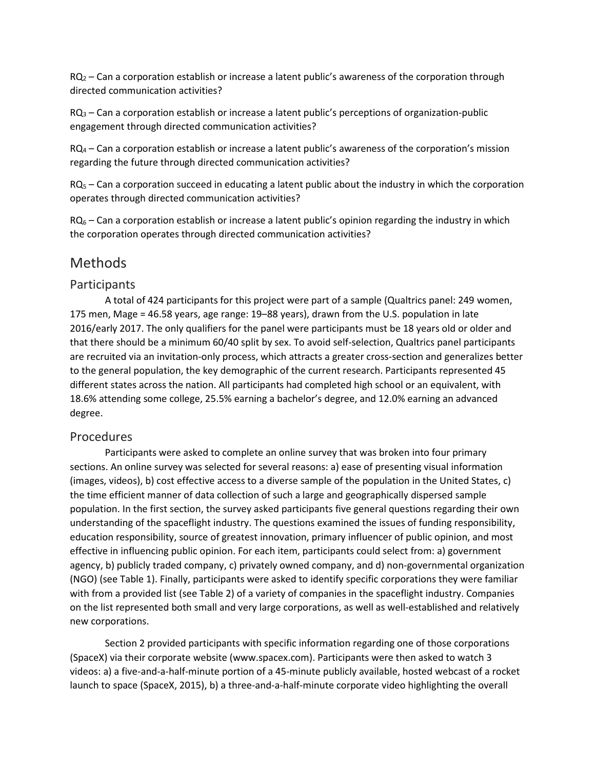$RQ<sub>2</sub>$  – Can a corporation establish or increase a latent public's awareness of the corporation through directed communication activities?

 $RQ<sub>3</sub>$  – Can a corporation establish or increase a latent public's perceptions of organization-public engagement through directed communication activities?

 $RQ_4$  – Can a corporation establish or increase a latent public's awareness of the corporation's mission regarding the future through directed communication activities?

 $RG<sub>5</sub>$  – Can a corporation succeed in educating a latent public about the industry in which the corporation operates through directed communication activities?

 $RG<sub>6</sub> - Can a corporation establish or increase a latent public's opinion regarding the industry in which$ the corporation operates through directed communication activities?

## Methods

#### Participants

A total of 424 participants for this project were part of a sample (Qualtrics panel: 249 women, 175 men, Mage = 46.58 years, age range: 19–88 years), drawn from the U.S. population in late 2016/early 2017. The only qualifiers for the panel were participants must be 18 years old or older and that there should be a minimum 60/40 split by sex. To avoid self-selection, Qualtrics panel participants are recruited via an invitation-only process, which attracts a greater cross-section and generalizes better to the general population, the key demographic of the current research. Participants represented 45 different states across the nation. All participants had completed high school or an equivalent, with 18.6% attending some college, 25.5% earning a bachelor's degree, and 12.0% earning an advanced degree.

#### Procedures

Participants were asked to complete an online survey that was broken into four primary sections. An online survey was selected for several reasons: a) ease of presenting visual information (images, videos), b) cost effective access to a diverse sample of the population in the United States, c) the time efficient manner of data collection of such a large and geographically dispersed sample population. In the first section, the survey asked participants five general questions regarding their own understanding of the spaceflight industry. The questions examined the issues of funding responsibility, education responsibility, source of greatest innovation, primary influencer of public opinion, and most effective in influencing public opinion. For each item, participants could select from: a) government agency, b) publicly traded company, c) privately owned company, and d) non-governmental organization (NGO) (see Table 1). Finally, participants were asked to identify specific corporations they were familiar with from a provided list (see Table 2) of a variety of companies in the spaceflight industry. Companies on the list represented both small and very large corporations, as well as well-established and relatively new corporations.

Section 2 provided participants with specific information regarding one of those corporations (SpaceX) via their corporate website (www.spacex.com). Participants were then asked to watch 3 videos: a) a five-and-a-half-minute portion of a 45-minute publicly available, hosted webcast of a rocket launch to space (SpaceX, 2015), b) a three-and-a-half-minute corporate video highlighting the overall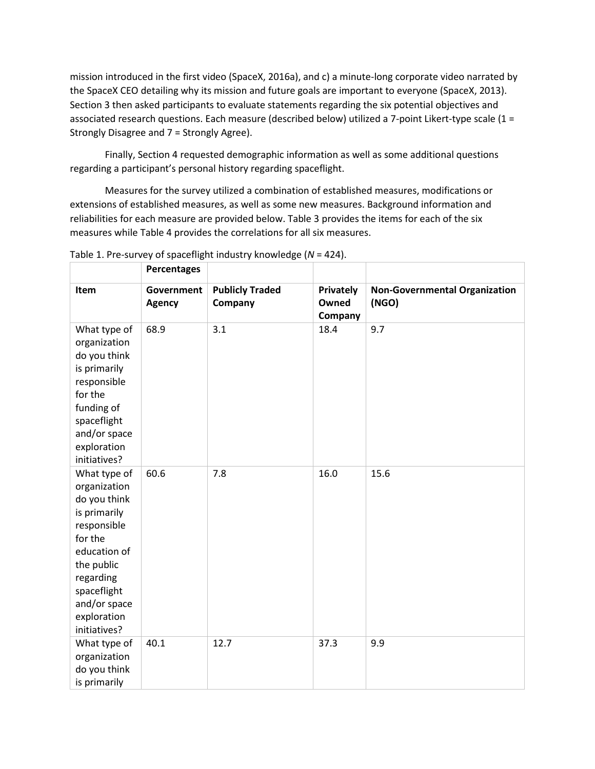mission introduced in the first video (SpaceX, 2016a), and c) a minute-long corporate video narrated by the SpaceX CEO detailing why its mission and future goals are important to everyone (SpaceX, 2013). Section 3 then asked participants to evaluate statements regarding the six potential objectives and associated research questions. Each measure (described below) utilized a 7-point Likert-type scale (1 = Strongly Disagree and 7 = Strongly Agree).

Finally, Section 4 requested demographic information as well as some additional questions regarding a participant's personal history regarding spaceflight.

Measures for the survey utilized a combination of established measures, modifications or extensions of established measures, as well as some new measures. Background information and reliabilities for each measure are provided below. Table 3 provides the items for each of the six measures while Table 4 provides the correlations for all six measures.

|                                                                                                                                                                                                 | Percentages                        |                                   |                               |                                               |
|-------------------------------------------------------------------------------------------------------------------------------------------------------------------------------------------------|------------------------------------|-----------------------------------|-------------------------------|-----------------------------------------------|
| Item                                                                                                                                                                                            | <b>Government</b><br><b>Agency</b> | <b>Publicly Traded</b><br>Company | Privately<br>Owned<br>Company | <b>Non-Governmental Organization</b><br>(NGO) |
| What type of<br>organization<br>do you think<br>is primarily<br>responsible<br>for the<br>funding of<br>spaceflight<br>and/or space<br>exploration<br>initiatives?                              | 68.9                               | 3.1                               | 18.4                          | 9.7                                           |
| What type of<br>organization<br>do you think<br>is primarily<br>responsible<br>for the<br>education of<br>the public<br>regarding<br>spaceflight<br>and/or space<br>exploration<br>initiatives? | 60.6                               | 7.8                               | 16.0                          | 15.6                                          |
| What type of<br>organization<br>do you think<br>is primarily                                                                                                                                    | 40.1                               | 12.7                              | 37.3                          | 9.9                                           |

Table 1. Pre-survey of spaceflight industry knowledge (*N* = 424).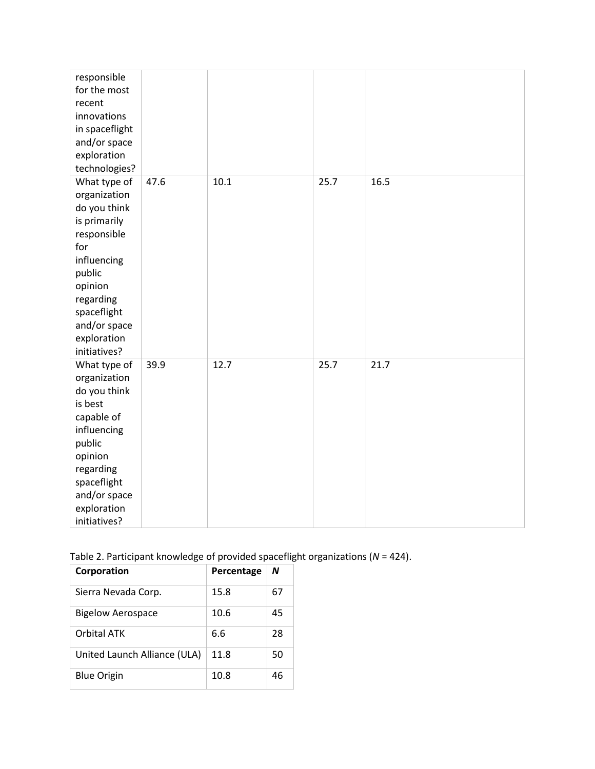| responsible<br>for the most<br>recent<br>innovations<br>in spaceflight<br>and/or space<br>exploration<br>technologies?                                                                            |      |      |      |      |
|---------------------------------------------------------------------------------------------------------------------------------------------------------------------------------------------------|------|------|------|------|
| What type of<br>organization<br>do you think<br>is primarily<br>responsible<br>for<br>influencing<br>public<br>opinion<br>regarding<br>spaceflight<br>and/or space<br>exploration<br>initiatives? | 47.6 | 10.1 | 25.7 | 16.5 |
| What type of<br>organization<br>do you think<br>is best<br>capable of<br>influencing<br>public<br>opinion<br>regarding<br>spaceflight<br>and/or space<br>exploration<br>initiatives?              | 39.9 | 12.7 | 25.7 | 21.7 |

Table 2. Participant knowledge of provided spaceflight organizations (*N* = 424).

| Corporation                  | Percentage | N  |
|------------------------------|------------|----|
| Sierra Nevada Corp.          | 15.8       | 67 |
| <b>Bigelow Aerospace</b>     | 10.6       | 45 |
| Orbital ATK                  | 6.6        | 28 |
| United Launch Alliance (ULA) | 11.8       | 50 |
| <b>Blue Origin</b>           | 10.8       | 46 |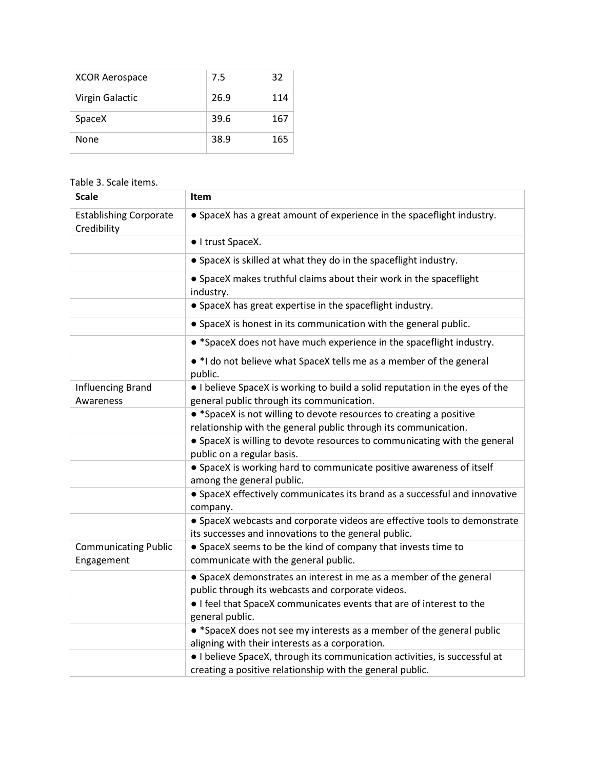| <b>XCOR Aerospace</b> | 7.5  | 32  |
|-----------------------|------|-----|
| Virgin Galactic       | 26.9 | 114 |
| SpaceX                | 39.6 | 167 |
| None                  | 38.9 | 165 |

#### Table 3. Scale items.

| <b>Scale</b>                                 | Item                                                                                                                                    |
|----------------------------------------------|-----------------------------------------------------------------------------------------------------------------------------------------|
| <b>Establishing Corporate</b><br>Credibility | • SpaceX has a great amount of experience in the spaceflight industry.                                                                  |
|                                              | · I trust SpaceX.                                                                                                                       |
|                                              | • SpaceX is skilled at what they do in the spaceflight industry.                                                                        |
|                                              | • SpaceX makes truthful claims about their work in the spaceflight<br>industry.                                                         |
|                                              | • SpaceX has great expertise in the spaceflight industry.                                                                               |
|                                              | • SpaceX is honest in its communication with the general public.                                                                        |
|                                              | • *SpaceX does not have much experience in the spaceflight industry.                                                                    |
|                                              | • *I do not believe what SpaceX tells me as a member of the general<br>public.                                                          |
| <b>Influencing Brand</b><br>Awareness        | . I believe SpaceX is working to build a solid reputation in the eyes of the<br>general public through its communication.               |
|                                              | • *SpaceX is not willing to devote resources to creating a positive<br>relationship with the general public through its communication.  |
|                                              | • SpaceX is willing to devote resources to communicating with the general<br>public on a regular basis.                                 |
|                                              | • SpaceX is working hard to communicate positive awareness of itself<br>among the general public.                                       |
|                                              | • SpaceX effectively communicates its brand as a successful and innovative<br>company.                                                  |
|                                              | • SpaceX webcasts and corporate videos are effective tools to demonstrate<br>its successes and innovations to the general public.       |
| <b>Communicating Public</b><br>Engagement    | • SpaceX seems to be the kind of company that invests time to<br>communicate with the general public.                                   |
|                                              | • SpaceX demonstrates an interest in me as a member of the general<br>public through its webcasts and corporate videos.                 |
|                                              | • I feel that SpaceX communicates events that are of interest to the<br>general public.                                                 |
|                                              | • *SpaceX does not see my interests as a member of the general public<br>aligning with their interests as a corporation.                |
|                                              | · I believe SpaceX, through its communication activities, is successful at<br>creating a positive relationship with the general public. |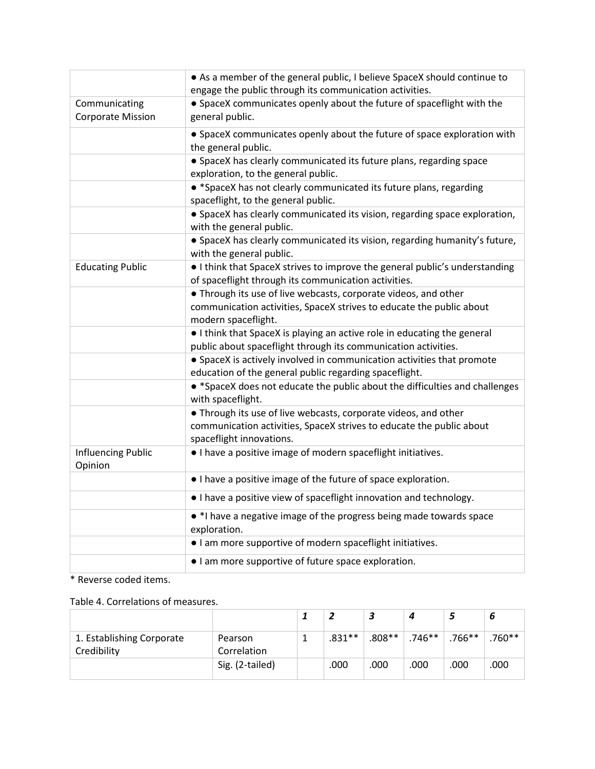|                                           | • As a member of the general public, I believe SpaceX should continue to<br>engage the public through its communication activities.                                 |
|-------------------------------------------|---------------------------------------------------------------------------------------------------------------------------------------------------------------------|
| Communicating<br><b>Corporate Mission</b> | • SpaceX communicates openly about the future of spaceflight with the<br>general public.                                                                            |
|                                           | • SpaceX communicates openly about the future of space exploration with<br>the general public.                                                                      |
|                                           | • SpaceX has clearly communicated its future plans, regarding space<br>exploration, to the general public.                                                          |
|                                           | • *SpaceX has not clearly communicated its future plans, regarding<br>spaceflight, to the general public.                                                           |
|                                           | • SpaceX has clearly communicated its vision, regarding space exploration,<br>with the general public.                                                              |
|                                           | · SpaceX has clearly communicated its vision, regarding humanity's future,<br>with the general public.                                                              |
| <b>Educating Public</b>                   | I think that SpaceX strives to improve the general public's understanding<br>of spaceflight through its communication activities.                                   |
|                                           | • Through its use of live webcasts, corporate videos, and other<br>communication activities, SpaceX strives to educate the public about<br>modern spaceflight.      |
|                                           | • I think that SpaceX is playing an active role in educating the general<br>public about spaceflight through its communication activities.                          |
|                                           | • SpaceX is actively involved in communication activities that promote<br>education of the general public regarding spaceflight.                                    |
|                                           | • *SpaceX does not educate the public about the difficulties and challenges<br>with spaceflight.                                                                    |
|                                           | • Through its use of live webcasts, corporate videos, and other<br>communication activities, SpaceX strives to educate the public about<br>spaceflight innovations. |
| <b>Influencing Public</b><br>Opinion      | . I have a positive image of modern spaceflight initiatives.                                                                                                        |
|                                           | • I have a positive image of the future of space exploration.                                                                                                       |
|                                           | • I have a positive view of spaceflight innovation and technology.                                                                                                  |
|                                           | • *I have a negative image of the progress being made towards space<br>exploration.                                                                                 |
|                                           | I am more supportive of modern spaceflight initiatives.                                                                                                             |
|                                           | I am more supportive of future space exploration.                                                                                                                   |

\* Reverse coded items.

#### Table 4. Correlations of measures.

|                                          |                        |           | 3       | 4      |        | o        |
|------------------------------------------|------------------------|-----------|---------|--------|--------|----------|
| 1. Establishing Corporate<br>Credibility | Pearson<br>Correlation | $.831***$ | $808**$ | .746** | .766** | $.760**$ |
|                                          | Sig. (2-tailed)        | .000      | .000    | .000   | .000   | .000     |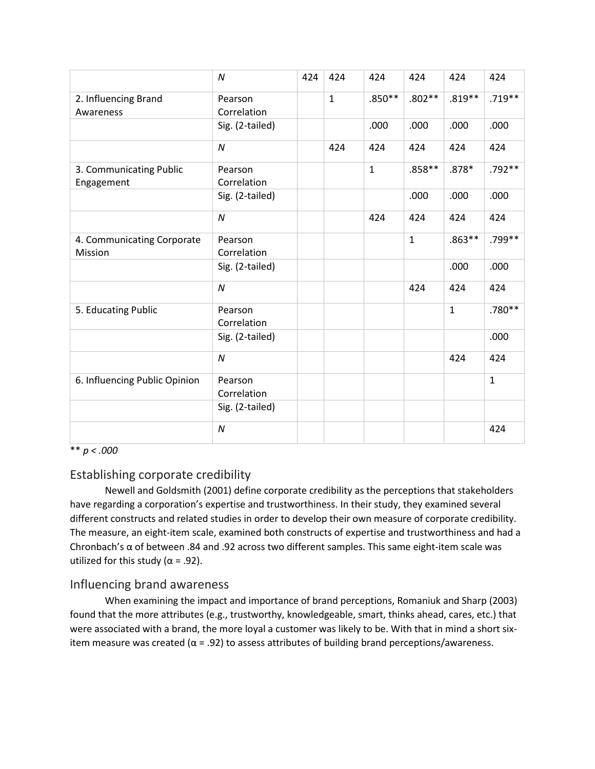|                                       | $\boldsymbol{N}$       | 424 | 424          | 424         | 424          | 424          | 424          |
|---------------------------------------|------------------------|-----|--------------|-------------|--------------|--------------|--------------|
| 2. Influencing Brand<br>Awareness     | Pearson<br>Correlation |     | $\mathbf{1}$ | $.850**$    | $.802**$     | $.819**$     | $.719**$     |
|                                       | Sig. (2-tailed)        |     |              | .000        | .000         | .000         | .000         |
|                                       | $\boldsymbol{N}$       |     | 424          | 424         | 424          | 424          | 424          |
| 3. Communicating Public<br>Engagement | Pearson<br>Correlation |     |              | $\mathbf 1$ | $.858**$     | $.878*$      | .792 **      |
|                                       | Sig. (2-tailed)        |     |              |             | .000         | .000         | .000         |
|                                       | $\boldsymbol{N}$       |     |              | 424         | 424          | 424          | 424          |
| 4. Communicating Corporate<br>Mission | Pearson<br>Correlation |     |              |             | $\mathbf{1}$ | $.863**$     | .799**       |
|                                       | Sig. (2-tailed)        |     |              |             |              | .000         | .000         |
|                                       | $\boldsymbol{N}$       |     |              |             | 424          | 424          | 424          |
| 5. Educating Public                   | Pearson<br>Correlation |     |              |             |              | $\mathbf{1}$ | $.780**$     |
|                                       | Sig. (2-tailed)        |     |              |             |              |              | .000         |
|                                       | $\boldsymbol{N}$       |     |              |             |              | 424          | 424          |
| 6. Influencing Public Opinion         | Pearson<br>Correlation |     |              |             |              |              | $\mathbf{1}$ |
|                                       | Sig. (2-tailed)        |     |              |             |              |              |              |
|                                       | $\boldsymbol{N}$       |     |              |             |              |              | 424          |

\*\* *p < .000*

#### Establishing corporate credibility

Newell and Goldsmith (2001) define corporate credibility as the perceptions that stakeholders have regarding a corporation's expertise and trustworthiness. In their study, they examined several different constructs and related studies in order to develop their own measure of corporate credibility. The measure, an eight-item scale, examined both constructs of expertise and trustworthiness and had a Chronbach's α of between .84 and .92 across two different samples. This same eight-item scale was utilized for this study ( $\alpha$  = .92).

#### Influencing brand awareness

When examining the impact and importance of brand perceptions, Romaniuk and Sharp (2003) found that the more attributes (e.g., trustworthy, knowledgeable, smart, thinks ahead, cares, etc.) that were associated with a brand, the more loyal a customer was likely to be. With that in mind a short sixitem measure was created ( $\alpha$  = .92) to assess attributes of building brand perceptions/awareness.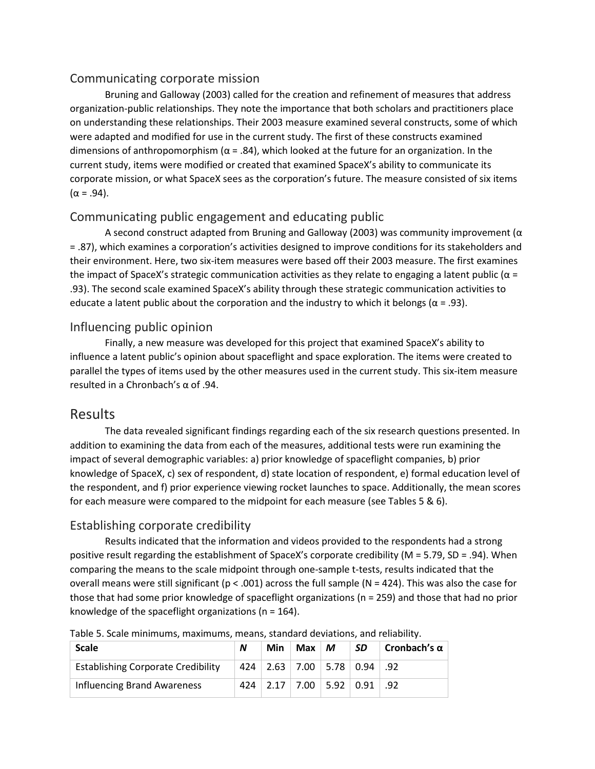#### Communicating corporate mission

Bruning and Galloway (2003) called for the creation and refinement of measures that address organization-public relationships. They note the importance that both scholars and practitioners place on understanding these relationships. Their 2003 measure examined several constructs, some of which were adapted and modified for use in the current study. The first of these constructs examined dimensions of anthropomorphism ( $\alpha$  = .84), which looked at the future for an organization. In the current study, items were modified or created that examined SpaceX's ability to communicate its corporate mission, or what SpaceX sees as the corporation's future. The measure consisted of six items (α = .94).

#### Communicating public engagement and educating public

A second construct adapted from Bruning and Galloway (2003) was community improvement ( $\alpha$ = .87), which examines a corporation's activities designed to improve conditions for its stakeholders and their environment. Here, two six-item measures were based off their 2003 measure. The first examines the impact of SpaceX's strategic communication activities as they relate to engaging a latent public ( $\alpha$  = .93). The second scale examined SpaceX's ability through these strategic communication activities to educate a latent public about the corporation and the industry to which it belongs ( $\alpha$  = .93).

#### Influencing public opinion

Finally, a new measure was developed for this project that examined SpaceX's ability to influence a latent public's opinion about spaceflight and space exploration. The items were created to parallel the types of items used by the other measures used in the current study. This six-item measure resulted in a Chronbach's α of .94.

#### Results

The data revealed significant findings regarding each of the six research questions presented. In addition to examining the data from each of the measures, additional tests were run examining the impact of several demographic variables: a) prior knowledge of spaceflight companies, b) prior knowledge of SpaceX, c) sex of respondent, d) state location of respondent, e) formal education level of the respondent, and f) prior experience viewing rocket launches to space. Additionally, the mean scores for each measure were compared to the midpoint for each measure (see Tables 5 & 6).

#### Establishing corporate credibility

Results indicated that the information and videos provided to the respondents had a strong positive result regarding the establishment of SpaceX's corporate credibility (M = 5.79, SD = .94). When comparing the means to the scale midpoint through one-sample t-tests, results indicated that the overall means were still significant ( $p < .001$ ) across the full sample ( $N = 424$ ). This was also the case for those that had some prior knowledge of spaceflight organizations (n = 259) and those that had no prior knowledge of the spaceflight organizations ( $n = 164$ ).

| <b>Scale</b>                              | N   | Min | Max                                   | $\overline{M}$ | <b>SD</b> | Cronbach's α |
|-------------------------------------------|-----|-----|---------------------------------------|----------------|-----------|--------------|
| <b>Establishing Corporate Credibility</b> |     |     | 424   2.63   7.00   5.78   0.94   .92 |                |           |              |
| <b>Influencing Brand Awareness</b>        | 424 |     | 2.17   7.00   5.92   0.91   .92       |                |           |              |

Table 5. Scale minimums, maximums, means, standard deviations, and reliability.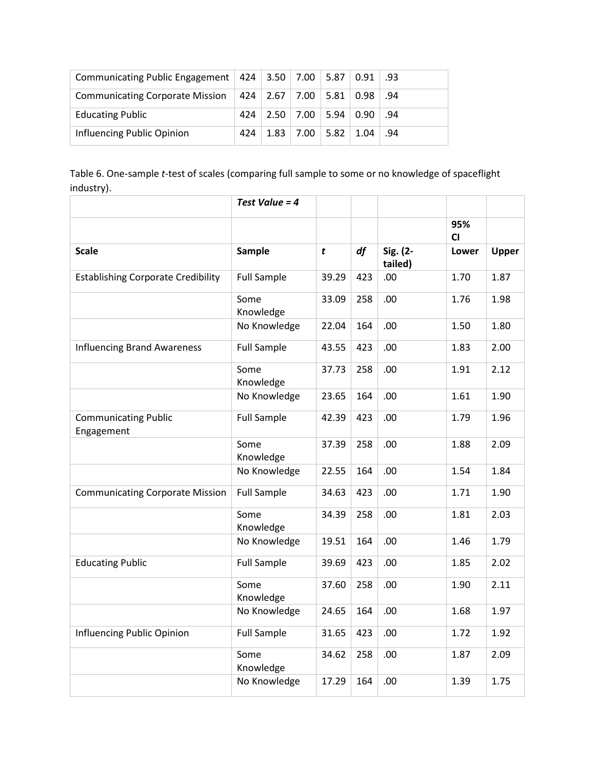| Communicating Public Engagement   424   3.50   7.00   5.87   0.91   .93 |     |                                   |                          |     |
|-------------------------------------------------------------------------|-----|-----------------------------------|--------------------------|-----|
| <b>Communicating Corporate Mission</b>                                  |     | $424$   2.67   7.00   5.81        | $\vert$ 0.98 $\vert$ .94 |     |
| <b>Educating Public</b>                                                 |     | $424$   2.50   7.00   5.94   0.90 |                          | .94 |
| Influencing Public Opinion                                              | 424 | $1.83$   7.00   5.82              | 1.04                     | .94 |

| Table 6. One-sample t-test of scales (comparing full sample to some or no knowledge of spaceflight |  |  |
|----------------------------------------------------------------------------------------------------|--|--|
| industry).                                                                                         |  |  |

|                                           | Test Value = 4     |       |     |                     |           |              |
|-------------------------------------------|--------------------|-------|-----|---------------------|-----------|--------------|
|                                           |                    |       |     |                     | 95%<br>CI |              |
| <b>Scale</b>                              | Sample             | t     | df  | Sig. (2-<br>tailed) | Lower     | <b>Upper</b> |
| <b>Establishing Corporate Credibility</b> | <b>Full Sample</b> | 39.29 | 423 | .00                 | 1.70      | 1.87         |
|                                           | Some<br>Knowledge  | 33.09 | 258 | .00                 | 1.76      | 1.98         |
|                                           | No Knowledge       | 22.04 | 164 | .00                 | 1.50      | 1.80         |
| <b>Influencing Brand Awareness</b>        | <b>Full Sample</b> | 43.55 | 423 | .00                 | 1.83      | 2.00         |
|                                           | Some<br>Knowledge  | 37.73 | 258 | .00                 | 1.91      | 2.12         |
|                                           | No Knowledge       | 23.65 | 164 | .00                 | 1.61      | 1.90         |
| <b>Communicating Public</b><br>Engagement | <b>Full Sample</b> | 42.39 | 423 | .00                 | 1.79      | 1.96         |
|                                           | Some<br>Knowledge  | 37.39 | 258 | .00                 | 1.88      | 2.09         |
|                                           | No Knowledge       | 22.55 | 164 | .00                 | 1.54      | 1.84         |
| <b>Communicating Corporate Mission</b>    | <b>Full Sample</b> | 34.63 | 423 | .00                 | 1.71      | 1.90         |
|                                           | Some<br>Knowledge  | 34.39 | 258 | .00                 | 1.81      | 2.03         |
|                                           | No Knowledge       | 19.51 | 164 | .00                 | 1.46      | 1.79         |
| <b>Educating Public</b>                   | <b>Full Sample</b> | 39.69 | 423 | .00                 | 1.85      | 2.02         |
|                                           | Some<br>Knowledge  | 37.60 | 258 | .00                 | 1.90      | 2.11         |
|                                           | No Knowledge       | 24.65 | 164 | .00                 | 1.68      | 1.97         |
| Influencing Public Opinion                | <b>Full Sample</b> | 31.65 | 423 | .00                 | 1.72      | 1.92         |
|                                           | Some<br>Knowledge  | 34.62 | 258 | .00                 | 1.87      | 2.09         |
|                                           | No Knowledge       | 17.29 | 164 | .00                 | 1.39      | 1.75         |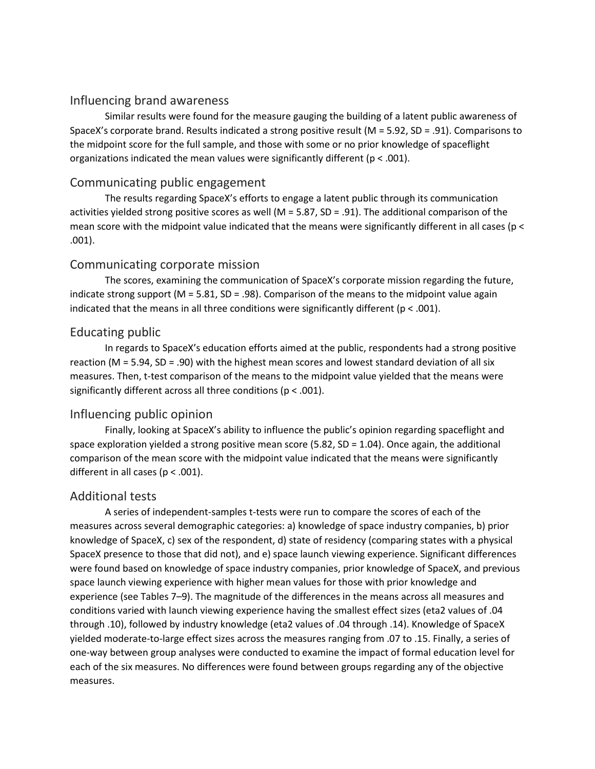#### Influencing brand awareness

Similar results were found for the measure gauging the building of a latent public awareness of SpaceX's corporate brand. Results indicated a strong positive result (M = 5.92, SD = .91). Comparisons to the midpoint score for the full sample, and those with some or no prior knowledge of spaceflight organizations indicated the mean values were significantly different ( $p < .001$ ).

#### Communicating public engagement

The results regarding SpaceX's efforts to engage a latent public through its communication activities yielded strong positive scores as well ( $M = 5.87$ , SD = .91). The additional comparison of the mean score with the midpoint value indicated that the means were significantly different in all cases (p < .001).

#### Communicating corporate mission

The scores, examining the communication of SpaceX's corporate mission regarding the future, indicate strong support ( $M = 5.81$ ,  $SD = .98$ ). Comparison of the means to the midpoint value again indicated that the means in all three conditions were significantly different ( $p < .001$ ).

#### Educating public

In regards to SpaceX's education efforts aimed at the public, respondents had a strong positive reaction (M = 5.94, SD = .90) with the highest mean scores and lowest standard deviation of all six measures. Then, t-test comparison of the means to the midpoint value yielded that the means were significantly different across all three conditions (p < .001).

#### Influencing public opinion

Finally, looking at SpaceX's ability to influence the public's opinion regarding spaceflight and space exploration yielded a strong positive mean score  $(5.82, SD = 1.04)$ . Once again, the additional comparison of the mean score with the midpoint value indicated that the means were significantly different in all cases (p < .001).

#### Additional tests

A series of independent-samples t-tests were run to compare the scores of each of the measures across several demographic categories: a) knowledge of space industry companies, b) prior knowledge of SpaceX, c) sex of the respondent, d) state of residency (comparing states with a physical SpaceX presence to those that did not), and e) space launch viewing experience. Significant differences were found based on knowledge of space industry companies, prior knowledge of SpaceX, and previous space launch viewing experience with higher mean values for those with prior knowledge and experience (see Tables 7–9). The magnitude of the differences in the means across all measures and conditions varied with launch viewing experience having the smallest effect sizes (eta2 values of .04 through .10), followed by industry knowledge (eta2 values of .04 through .14). Knowledge of SpaceX yielded moderate-to-large effect sizes across the measures ranging from .07 to .15. Finally, a series of one-way between group analyses were conducted to examine the impact of formal education level for each of the six measures. No differences were found between groups regarding any of the objective measures.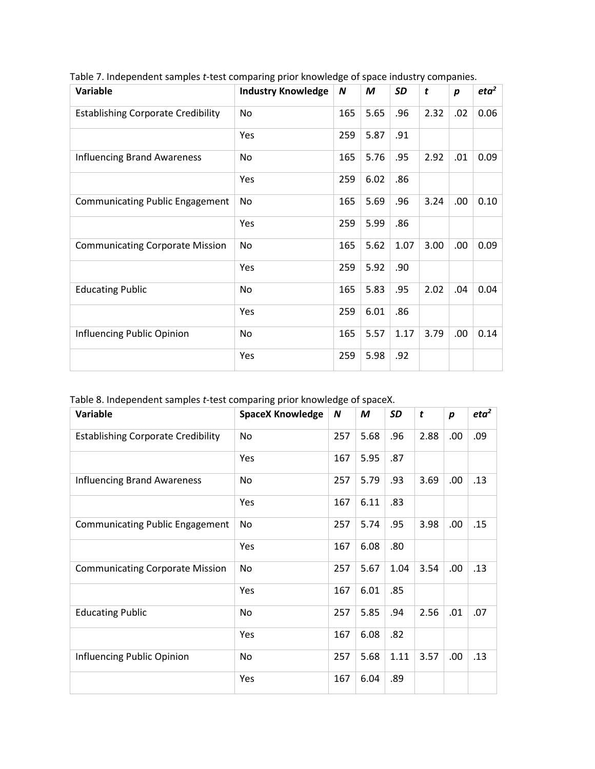| Variable                                  | <b>Industry Knowledge</b> | N   | M    | SD   | t    | p    | eta <sup>2</sup> |
|-------------------------------------------|---------------------------|-----|------|------|------|------|------------------|
| <b>Establishing Corporate Credibility</b> | No                        | 165 | 5.65 | .96  | 2.32 | .02  | 0.06             |
|                                           | Yes                       | 259 | 5.87 | .91  |      |      |                  |
| <b>Influencing Brand Awareness</b>        | No                        | 165 | 5.76 | .95  | 2.92 | .01  | 0.09             |
|                                           | Yes                       | 259 | 6.02 | .86  |      |      |                  |
| <b>Communicating Public Engagement</b>    | No                        | 165 | 5.69 | .96  | 3.24 | .00. | 0.10             |
|                                           | Yes                       | 259 | 5.99 | .86  |      |      |                  |
| <b>Communicating Corporate Mission</b>    | No                        | 165 | 5.62 | 1.07 | 3.00 | .00  | 0.09             |
|                                           | Yes                       | 259 | 5.92 | .90  |      |      |                  |
| <b>Educating Public</b>                   | No                        | 165 | 5.83 | .95  | 2.02 | .04  | 0.04             |
|                                           | Yes                       | 259 | 6.01 | .86  |      |      |                  |
| Influencing Public Opinion                | No                        | 165 | 5.57 | 1.17 | 3.79 | .00. | 0.14             |
|                                           | Yes                       | 259 | 5.98 | .92  |      |      |                  |

Table 7. Independent samples *t*-test comparing prior knowledge of space industry companies.

Table 8. Independent samples *t*-test comparing prior knowledge of spaceX.

| Variable                                  | <b>SpaceX Knowledge</b> | N   | M    | <b>SD</b> | t    | p    | eta <sup>2</sup> |
|-------------------------------------------|-------------------------|-----|------|-----------|------|------|------------------|
| <b>Establishing Corporate Credibility</b> | No                      | 257 | 5.68 | .96       | 2.88 | .00  | .09              |
|                                           | Yes                     | 167 | 5.95 | .87       |      |      |                  |
| <b>Influencing Brand Awareness</b>        | No                      | 257 | 5.79 | .93       | 3.69 | .00  | .13              |
|                                           | Yes                     | 167 | 6.11 | .83       |      |      |                  |
| <b>Communicating Public Engagement</b>    | No                      | 257 | 5.74 | .95       | 3.98 | .00. | .15              |
|                                           | Yes                     | 167 | 6.08 | .80       |      |      |                  |
| <b>Communicating Corporate Mission</b>    | No                      | 257 | 5.67 | 1.04      | 3.54 | .00. | .13              |
|                                           | Yes                     | 167 | 6.01 | .85       |      |      |                  |
| <b>Educating Public</b>                   | No                      | 257 | 5.85 | .94       | 2.56 | .01  | .07              |
|                                           | Yes                     | 167 | 6.08 | .82       |      |      |                  |
| Influencing Public Opinion                | No                      | 257 | 5.68 | 1.11      | 3.57 | .00  | .13              |
|                                           | Yes                     | 167 | 6.04 | .89       |      |      |                  |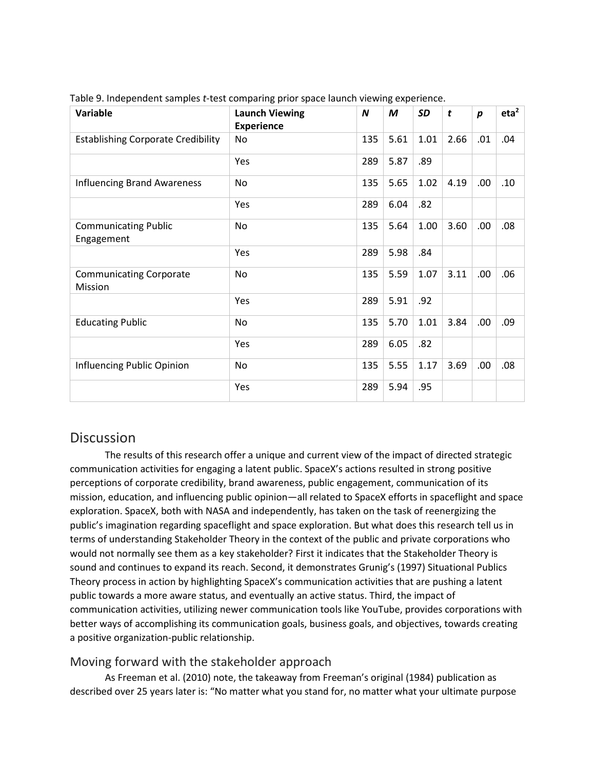| Variable                                  | <b>Launch Viewing</b> | $\boldsymbol{N}$ | M    | <b>SD</b> | t    | $\boldsymbol{p}$ | eta <sup>2</sup> |
|-------------------------------------------|-----------------------|------------------|------|-----------|------|------------------|------------------|
|                                           | <b>Experience</b>     |                  |      |           |      |                  |                  |
| <b>Establishing Corporate Credibility</b> | No                    | 135              | 5.61 | 1.01      | 2.66 | .01              | .04              |
|                                           | Yes                   | 289              | 5.87 | .89       |      |                  |                  |
| <b>Influencing Brand Awareness</b>        | No                    | 135              | 5.65 | 1.02      | 4.19 | .00              | .10              |
|                                           | Yes                   | 289              | 6.04 | .82       |      |                  |                  |
| <b>Communicating Public</b><br>Engagement | No                    | 135              | 5.64 | 1.00      | 3.60 | .00              | .08              |
|                                           | Yes                   | 289              | 5.98 | .84       |      |                  |                  |
| <b>Communicating Corporate</b><br>Mission | No                    | 135              | 5.59 | 1.07      | 3.11 | .00              | .06              |
|                                           | Yes                   | 289              | 5.91 | .92       |      |                  |                  |
| <b>Educating Public</b>                   | No                    | 135              | 5.70 | 1.01      | 3.84 | .00              | .09              |
|                                           | Yes                   | 289              | 6.05 | .82       |      |                  |                  |
| Influencing Public Opinion                | No                    | 135              | 5.55 | 1.17      | 3.69 | .00              | .08              |
|                                           | Yes                   | 289              | 5.94 | .95       |      |                  |                  |

Table 9. Independent samples *t*-test comparing prior space launch viewing experience.

#### **Discussion**

The results of this research offer a unique and current view of the impact of directed strategic communication activities for engaging a latent public. SpaceX's actions resulted in strong positive perceptions of corporate credibility, brand awareness, public engagement, communication of its mission, education, and influencing public opinion—all related to SpaceX efforts in spaceflight and space exploration. SpaceX, both with NASA and independently, has taken on the task of reenergizing the public's imagination regarding spaceflight and space exploration. But what does this research tell us in terms of understanding Stakeholder Theory in the context of the public and private corporations who would not normally see them as a key stakeholder? First it indicates that the Stakeholder Theory is sound and continues to expand its reach. Second, it demonstrates Grunig's (1997) Situational Publics Theory process in action by highlighting SpaceX's communication activities that are pushing a latent public towards a more aware status, and eventually an active status. Third, the impact of communication activities, utilizing newer communication tools like YouTube, provides corporations with better ways of accomplishing its communication goals, business goals, and objectives, towards creating a positive organization-public relationship.

#### Moving forward with the stakeholder approach

As Freeman et al. (2010) note, the takeaway from Freeman's original (1984) publication as described over 25 years later is: "No matter what you stand for, no matter what your ultimate purpose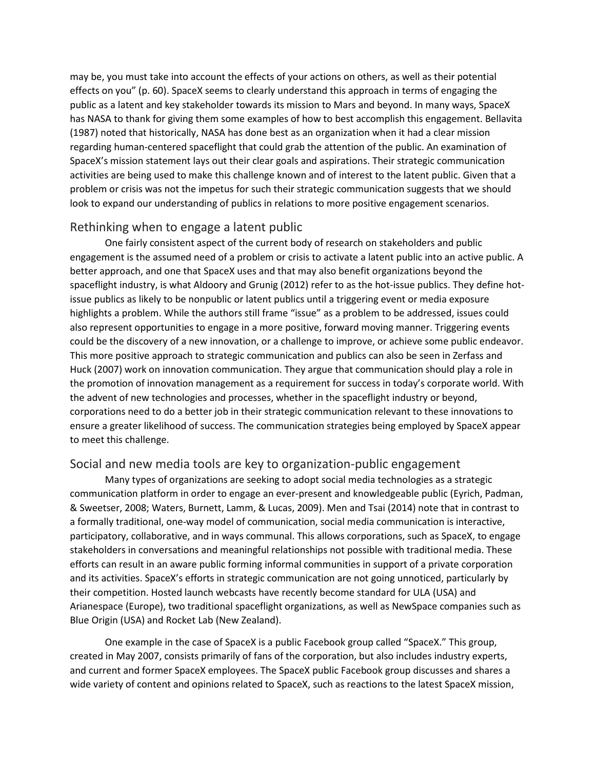may be, you must take into account the effects of your actions on others, as well as their potential effects on you" (p. 60). SpaceX seems to clearly understand this approach in terms of engaging the public as a latent and key stakeholder towards its mission to Mars and beyond. In many ways, SpaceX has NASA to thank for giving them some examples of how to best accomplish this engagement. Bellavita (1987) noted that historically, NASA has done best as an organization when it had a clear mission regarding human-centered spaceflight that could grab the attention of the public. An examination of SpaceX's mission statement lays out their clear goals and aspirations. Their strategic communication activities are being used to make this challenge known and of interest to the latent public. Given that a problem or crisis was not the impetus for such their strategic communication suggests that we should look to expand our understanding of publics in relations to more positive engagement scenarios.

#### Rethinking when to engage a latent public

One fairly consistent aspect of the current body of research on stakeholders and public engagement is the assumed need of a problem or crisis to activate a latent public into an active public. A better approach, and one that SpaceX uses and that may also benefit organizations beyond the spaceflight industry, is what Aldoory and Grunig (2012) refer to as the hot-issue publics. They define hotissue publics as likely to be nonpublic or latent publics until a triggering event or media exposure highlights a problem. While the authors still frame "issue" as a problem to be addressed, issues could also represent opportunities to engage in a more positive, forward moving manner. Triggering events could be the discovery of a new innovation, or a challenge to improve, or achieve some public endeavor. This more positive approach to strategic communication and publics can also be seen in Zerfass and Huck (2007) work on innovation communication. They argue that communication should play a role in the promotion of innovation management as a requirement for success in today's corporate world. With the advent of new technologies and processes, whether in the spaceflight industry or beyond, corporations need to do a better job in their strategic communication relevant to these innovations to ensure a greater likelihood of success. The communication strategies being employed by SpaceX appear to meet this challenge.

#### Social and new media tools are key to organization-public engagement

Many types of organizations are seeking to adopt social media technologies as a strategic communication platform in order to engage an ever-present and knowledgeable public (Eyrich, Padman, & Sweetser, 2008; Waters, Burnett, Lamm, & Lucas, 2009). Men and Tsai (2014) note that in contrast to a formally traditional, one-way model of communication, social media communication is interactive, participatory, collaborative, and in ways communal. This allows corporations, such as SpaceX, to engage stakeholders in conversations and meaningful relationships not possible with traditional media. These efforts can result in an aware public forming informal communities in support of a private corporation and its activities. SpaceX's efforts in strategic communication are not going unnoticed, particularly by their competition. Hosted launch webcasts have recently become standard for ULA (USA) and Arianespace (Europe), two traditional spaceflight organizations, as well as NewSpace companies such as Blue Origin (USA) and Rocket Lab (New Zealand).

One example in the case of SpaceX is a public Facebook group called "SpaceX." This group, created in May 2007, consists primarily of fans of the corporation, but also includes industry experts, and current and former SpaceX employees. The SpaceX public Facebook group discusses and shares a wide variety of content and opinions related to SpaceX, such as reactions to the latest SpaceX mission,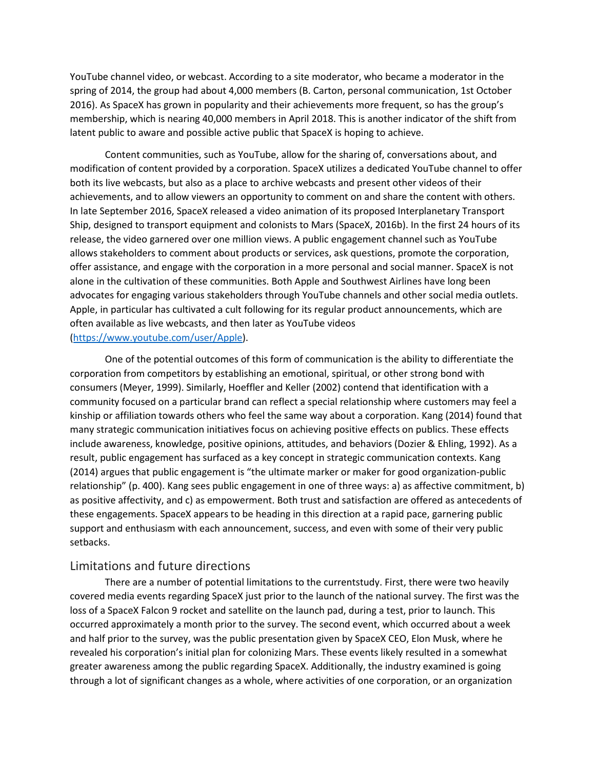YouTube channel video, or webcast. According to a site moderator, who became a moderator in the spring of 2014, the group had about 4,000 members (B. Carton, personal communication, 1st October 2016). As SpaceX has grown in popularity and their achievements more frequent, so has the group's membership, which is nearing 40,000 members in April 2018. This is another indicator of the shift from latent public to aware and possible active public that SpaceX is hoping to achieve.

Content communities, such as YouTube, allow for the sharing of, conversations about, and modification of content provided by a corporation. SpaceX utilizes a dedicated YouTube channel to offer both its live webcasts, but also as a place to archive webcasts and present other videos of their achievements, and to allow viewers an opportunity to comment on and share the content with others. In late September 2016, SpaceX released a video animation of its proposed Interplanetary Transport Ship, designed to transport equipment and colonists to Mars (SpaceX, 2016b). In the first 24 hours of its release, the video garnered over one million views. A public engagement channel such as YouTube allows stakeholders to comment about products or services, ask questions, promote the corporation, offer assistance, and engage with the corporation in a more personal and social manner. SpaceX is not alone in the cultivation of these communities. Both Apple and Southwest Airlines have long been advocates for engaging various stakeholders through YouTube channels and other social media outlets. Apple, in particular has cultivated a cult following for its regular product announcements, which are often available as live webcasts, and then later as YouTube videos [\(https://www.youtube.com/user/Apple\)](https://www.youtube.com/user/Apple).

One of the potential outcomes of this form of communication is the ability to differentiate the corporation from competitors by establishing an emotional, spiritual, or other strong bond with consumers (Meyer, 1999). Similarly, Hoeffler and Keller (2002) contend that identification with a community focused on a particular brand can reflect a special relationship where customers may feel a kinship or affiliation towards others who feel the same way about a corporation. Kang (2014) found that many strategic communication initiatives focus on achieving positive effects on publics. These effects include awareness, knowledge, positive opinions, attitudes, and behaviors (Dozier & Ehling, 1992). As a result, public engagement has surfaced as a key concept in strategic communication contexts. Kang (2014) argues that public engagement is "the ultimate marker or maker for good organization-public relationship" (p. 400). Kang sees public engagement in one of three ways: a) as affective commitment, b) as positive affectivity, and c) as empowerment. Both trust and satisfaction are offered as antecedents of these engagements. SpaceX appears to be heading in this direction at a rapid pace, garnering public support and enthusiasm with each announcement, success, and even with some of their very public setbacks.

#### Limitations and future directions

There are a number of potential limitations to the currentstudy. First, there were two heavily covered media events regarding SpaceX just prior to the launch of the national survey. The first was the loss of a SpaceX Falcon 9 rocket and satellite on the launch pad, during a test, prior to launch. This occurred approximately a month prior to the survey. The second event, which occurred about a week and half prior to the survey, was the public presentation given by SpaceX CEO, Elon Musk, where he revealed his corporation's initial plan for colonizing Mars. These events likely resulted in a somewhat greater awareness among the public regarding SpaceX. Additionally, the industry examined is going through a lot of significant changes as a whole, where activities of one corporation, or an organization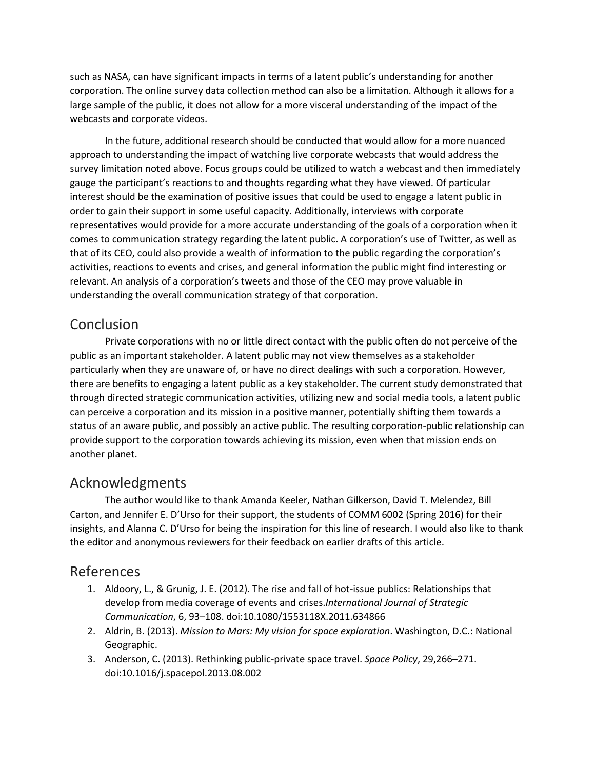such as NASA, can have significant impacts in terms of a latent public's understanding for another corporation. The online survey data collection method can also be a limitation. Although it allows for a large sample of the public, it does not allow for a more visceral understanding of the impact of the webcasts and corporate videos.

In the future, additional research should be conducted that would allow for a more nuanced approach to understanding the impact of watching live corporate webcasts that would address the survey limitation noted above. Focus groups could be utilized to watch a webcast and then immediately gauge the participant's reactions to and thoughts regarding what they have viewed. Of particular interest should be the examination of positive issues that could be used to engage a latent public in order to gain their support in some useful capacity. Additionally, interviews with corporate representatives would provide for a more accurate understanding of the goals of a corporation when it comes to communication strategy regarding the latent public. A corporation's use of Twitter, as well as that of its CEO, could also provide a wealth of information to the public regarding the corporation's activities, reactions to events and crises, and general information the public might find interesting or relevant. An analysis of a corporation's tweets and those of the CEO may prove valuable in understanding the overall communication strategy of that corporation.

## Conclusion

Private corporations with no or little direct contact with the public often do not perceive of the public as an important stakeholder. A latent public may not view themselves as a stakeholder particularly when they are unaware of, or have no direct dealings with such a corporation. However, there are benefits to engaging a latent public as a key stakeholder. The current study demonstrated that through directed strategic communication activities, utilizing new and social media tools, a latent public can perceive a corporation and its mission in a positive manner, potentially shifting them towards a status of an aware public, and possibly an active public. The resulting corporation-public relationship can provide support to the corporation towards achieving its mission, even when that mission ends on another planet.

## Acknowledgments

The author would like to thank Amanda Keeler, Nathan Gilkerson, David T. Melendez, Bill Carton, and Jennifer E. D'Urso for their support, the students of COMM 6002 (Spring 2016) for their insights, and Alanna C. D'Urso for being the inspiration for this line of research. I would also like to thank the editor and anonymous reviewers for their feedback on earlier drafts of this article.

## References

- 1. Aldoory, L., & Grunig, J. E. (2012). The rise and fall of hot-issue publics: Relationships that develop from media coverage of events and crises.*International Journal of Strategic Communication*, 6, 93–108. doi:10.1080/1553118X.2011.634866
- 2. Aldrin, B. (2013). *Mission to Mars: My vision for space exploration*. Washington, D.C.: National Geographic.
- 3. Anderson, C. (2013). Rethinking public-private space travel. *Space Policy*, 29,266–271. doi:10.1016/j.spacepol.2013.08.002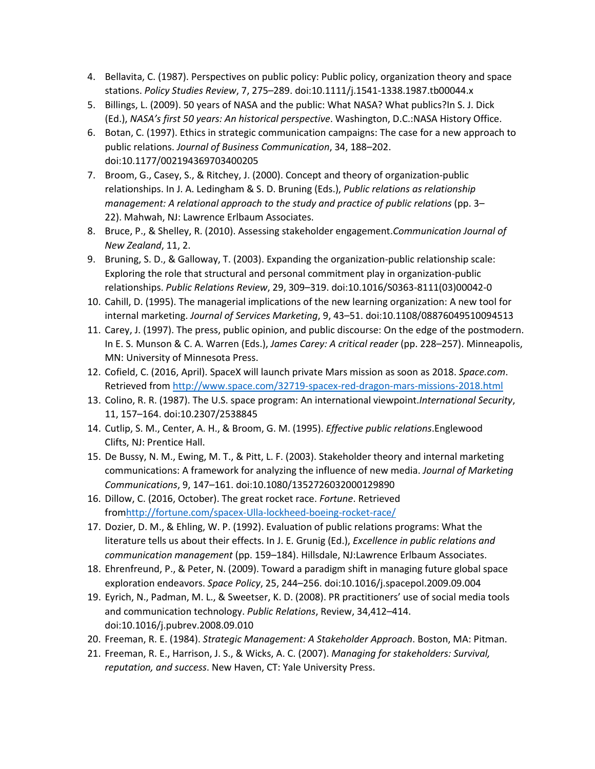- 4. Bellavita, C. (1987). Perspectives on public policy: Public policy, organization theory and space stations. *Policy Studies Review*, 7, 275–289. doi:10.1111/j.1541-1338.1987.tb00044.x
- 5. Billings, L. (2009). 50 years of NASA and the public: What NASA? What publics?In S. J. Dick (Ed.), *NASA's first 50 years: An historical perspective*. Washington, D.C.:NASA History Office.
- 6. Botan, C. (1997). Ethics in strategic communication campaigns: The case for a new approach to public relations. *Journal of Business Communication*, 34, 188–202. doi:10.1177/002194369703400205
- 7. Broom, G., Casey, S., & Ritchey, J. (2000). Concept and theory of organization-public relationships. In J. A. Ledingham & S. D. Bruning (Eds.), *Public relations as relationship management: A relational approach to the study and practice of public relations* (pp. 3– 22). Mahwah, NJ: Lawrence Erlbaum Associates.
- 8. Bruce, P., & Shelley, R. (2010). Assessing stakeholder engagement.*Communication Journal of New Zealand*, 11, 2.
- 9. Bruning, S. D., & Galloway, T. (2003). Expanding the organization-public relationship scale: Exploring the role that structural and personal commitment play in organization-public relationships. *Public Relations Review*, 29, 309–319. doi:10.1016/S0363-8111(03)00042-0
- 10. Cahill, D. (1995). The managerial implications of the new learning organization: A new tool for internal marketing. *Journal of Services Marketing*, 9, 43–51. doi:10.1108/08876049510094513
- 11. Carey, J. (1997). The press, public opinion, and public discourse: On the edge of the postmodern. In E. S. Munson & C. A. Warren (Eds.), *James Carey: A critical reader* (pp. 228–257). Minneapolis, MN: University of Minnesota Press.
- 12. Cofield, C. (2016, April). SpaceX will launch private Mars mission as soon as 2018. *Space.com*. Retrieved from <http://www.space.com/32719-spacex-red-dragon-mars-missions-2018.html>
- 13. Colino, R. R. (1987). The U.S. space program: An international viewpoint.*International Security*, 11, 157–164. doi:10.2307/2538845
- 14. Cutlip, S. M., Center, A. H., & Broom, G. M. (1995). *Effective public relations*.Englewood Clifts, NJ: Prentice Hall.
- 15. De Bussy, N. M., Ewing, M. T., & Pitt, L. F. (2003). Stakeholder theory and internal marketing communications: A framework for analyzing the influence of new media. *Journal of Marketing Communications*, 9, 147–161. doi:10.1080/1352726032000129890
- 16. Dillow, C. (2016, October). The great rocket race. *Fortune*. Retrieved fro[mhttp://fortune.com/spacex-Ulla-lockheed-boeing-rocket-race/](http://fortune.com/spacex-Ulla-lockheed-boeing-rocket-race/)
- 17. Dozier, D. M., & Ehling, W. P. (1992). Evaluation of public relations programs: What the literature tells us about their effects. In J. E. Grunig (Ed.), *Excellence in public relations and communication management* (pp. 159–184). Hillsdale, NJ:Lawrence Erlbaum Associates.
- 18. Ehrenfreund, P., & Peter, N. (2009). Toward a paradigm shift in managing future global space exploration endeavors. *Space Policy*, 25, 244–256. doi:10.1016/j.spacepol.2009.09.004
- 19. Eyrich, N., Padman, M. L., & Sweetser, K. D. (2008). PR practitioners' use of social media tools and communication technology. *Public Relations*, Review, 34,412–414. doi:10.1016/j.pubrev.2008.09.010
- 20. Freeman, R. E. (1984). *Strategic Management: A Stakeholder Approach*. Boston, MA: Pitman.
- 21. Freeman, R. E., Harrison, J. S., & Wicks, A. C. (2007). *Managing for stakeholders: Survival, reputation, and success*. New Haven, CT: Yale University Press.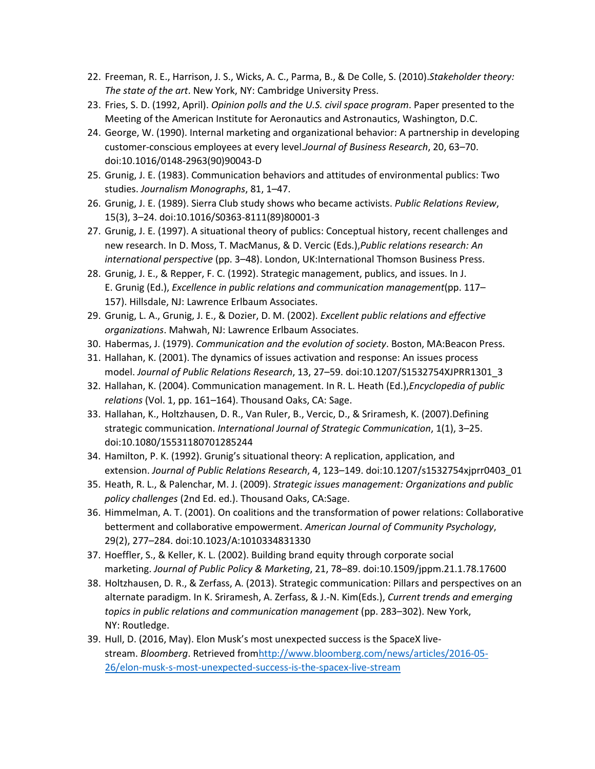- 22. Freeman, R. E., Harrison, J. S., Wicks, A. C., Parma, B., & De Colle, S. (2010).*Stakeholder theory: The state of the art*. New York, NY: Cambridge University Press.
- 23. Fries, S. D. (1992, April). *Opinion polls and the U.S. civil space program*. Paper presented to the Meeting of the American Institute for Aeronautics and Astronautics, Washington, D.C.
- 24. George, W. (1990). Internal marketing and organizational behavior: A partnership in developing customer-conscious employees at every level.*Journal of Business Research*, 20, 63–70. doi:10.1016/0148-2963(90)90043-D
- 25. Grunig, J. E. (1983). Communication behaviors and attitudes of environmental publics: Two studies. *Journalism Monographs*, 81, 1–47.
- 26. Grunig, J. E. (1989). Sierra Club study shows who became activists. *Public Relations Review*, 15(3), 3–24. doi:10.1016/S0363-8111(89)80001-3
- 27. Grunig, J. E. (1997). A situational theory of publics: Conceptual history, recent challenges and new research. In D. Moss, T. MacManus, & D. Vercic (Eds.),*Public relations research: An international perspective* (pp. 3–48). London, UK:International Thomson Business Press.
- 28. Grunig, J. E., & Repper, F. C. (1992). Strategic management, publics, and issues. In J. E. Grunig (Ed.), *Excellence in public relations and communication management*(pp. 117– 157). Hillsdale, NJ: Lawrence Erlbaum Associates.
- 29. Grunig, L. A., Grunig, J. E., & Dozier, D. M. (2002). *Excellent public relations and effective organizations*. Mahwah, NJ: Lawrence Erlbaum Associates.
- 30. Habermas, J. (1979). *Communication and the evolution of society*. Boston, MA:Beacon Press.
- 31. Hallahan, K. (2001). The dynamics of issues activation and response: An issues process model. *Journal of Public Relations Research*, 13, 27–59. doi:10.1207/S1532754XJPRR1301\_3
- 32. Hallahan, K. (2004). Communication management. In R. L. Heath (Ed.),*Encyclopedia of public relations* (Vol. 1, pp. 161–164). Thousand Oaks, CA: Sage.
- 33. Hallahan, K., Holtzhausen, D. R., Van Ruler, B., Vercic, D., & Sriramesh, K. (2007).Defining strategic communication. *International Journal of Strategic Communication*, 1(1), 3–25. doi:10.1080/15531180701285244
- 34. Hamilton, P. K. (1992). Grunig's situational theory: A replication, application, and extension. *Journal of Public Relations Research*, 4, 123–149. doi:10.1207/s1532754xjprr0403\_01
- 35. Heath, R. L., & Palenchar, M. J. (2009). *Strategic issues management: Organizations and public policy challenges* (2nd Ed. ed.). Thousand Oaks, CA:Sage.
- 36. Himmelman, A. T. (2001). On coalitions and the transformation of power relations: Collaborative betterment and collaborative empowerment. *American Journal of Community Psychology*, 29(2), 277–284. doi:10.1023/A:1010334831330
- 37. Hoeffler, S., & Keller, K. L. (2002). Building brand equity through corporate social marketing. *Journal of Public Policy & Marketing*, 21, 78–89. doi:10.1509/jppm.21.1.78.17600
- 38. Holtzhausen, D. R., & Zerfass, A. (2013). Strategic communication: Pillars and perspectives on an alternate paradigm. In K. Sriramesh, A. Zerfass, & J.-N. Kim(Eds.), *Current trends and emerging topics in public relations and communication management* (pp. 283–302). New York, NY: Routledge.
- 39. Hull, D. (2016, May). Elon Musk's most unexpected success is the SpaceX livestream. *Bloomberg*. Retrieved fro[mhttp://www.bloomberg.com/news/articles/2016-05-](http://www.bloomberg.com/news/articles/2016-05-26/elon-musk-s-most-unexpected-success-is-the-spacex-live-stream) [26/elon-musk-s-most-unexpected-success-is-the-spacex-live-stream](http://www.bloomberg.com/news/articles/2016-05-26/elon-musk-s-most-unexpected-success-is-the-spacex-live-stream)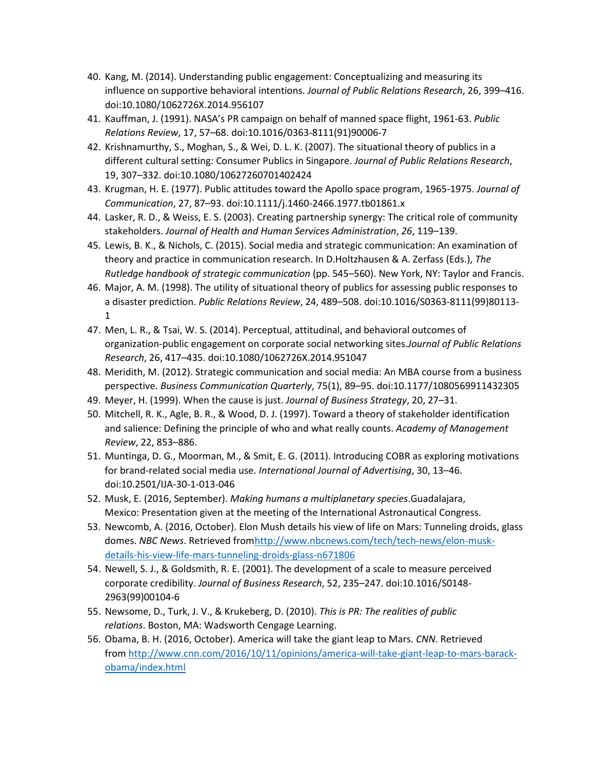- 40. Kang, M. (2014). Understanding public engagement: Conceptualizing and measuring its influence on supportive behavioral intentions. *Journal of Public Relations Research*, 26, 399–416. doi:10.1080/1062726X.2014.956107
- 41. Kauffman, J. (1991). NASA's PR campaign on behalf of manned space flight, 1961-63. *Public Relations Review*, 17, 57–68. doi:10.1016/0363-8111(91)90006-7
- 42. Krishnamurthy, S., Moghan, S., & Wei, D. L. K. (2007). The situational theory of publics in a different cultural setting: Consumer Publics in Singapore. *Journal of Public Relations Research*, 19, 307–332. doi:10.1080/10627260701402424
- 43. Krugman, H. E. (1977). Public attitudes toward the Apollo space program, 1965-1975. *Journal of Communication*, 27, 87–93. doi:10.1111/j.1460-2466.1977.tb01861.x
- 44. Lasker, R. D., & Weiss, E. S. (2003). Creating partnership synergy: The critical role of community stakeholders. *Journal of Health and Human Services Administration*, *26*, 119–139.
- 45. Lewis, B. K., & Nichols, C. (2015). Social media and strategic communication: An examination of theory and practice in communication research. In D.Holtzhausen & A. Zerfass (Eds.), *The Rutledge handbook of strategic communication* (pp. 545–560). New York, NY: Taylor and Francis.
- 46. Major, A. M. (1998). The utility of situational theory of publics for assessing public responses to a disaster prediction. *Public Relations Review*, 24, 489–508. doi:10.1016/S0363-8111(99)80113- 1
- 47. Men, L. R., & Tsai, W. S. (2014). Perceptual, attitudinal, and behavioral outcomes of organization-public engagement on corporate social networking sites.*Journal of Public Relations Research*, 26, 417–435. doi:10.1080/1062726X.2014.951047
- 48. Meridith, M. (2012). Strategic communication and social media: An MBA course from a business perspective. *Business Communication Quarterly*, 75(1), 89–95. doi:10.1177/1080569911432305
- 49. Meyer, H. (1999). When the cause is just. *Journal of Business Strategy*, 20, 27–31.
- 50. Mitchell, R. K., Agle, B. R., & Wood, D. J. (1997). Toward a theory of stakeholder identification and salience: Defining the principle of who and what really counts. *Academy of Management Review*, 22, 853–886.
- 51. Muntinga, D. G., Moorman, M., & Smit, E. G. (2011). Introducing COBR as exploring motivations for brand-related social media use. *International Journal of Advertising*, 30, 13–46. doi:10.2501/IJA-30-1-013-046
- 52. Musk, E. (2016, September). *Making humans a multiplanetary species*.Guadalajara, Mexico: Presentation given at the meeting of the International Astronautical Congress.
- 53. Newcomb, A. (2016, October). Elon Mush details his view of life on Mars: Tunneling droids, glass domes. *NBC News*. Retrieved fro[mhttp://www.nbcnews.com/tech/tech-news/elon-musk](http://www.nbcnews.com/tech/tech-news/elon-musk-details-his-view-life-mars-tunneling-droids-glass-n671806)[details-his-view-life-mars-tunneling-droids-glass-n671806](http://www.nbcnews.com/tech/tech-news/elon-musk-details-his-view-life-mars-tunneling-droids-glass-n671806)
- 54. Newell, S. J., & Goldsmith, R. E. (2001). The development of a scale to measure perceived corporate credibility. *Journal of Business Research*, 52, 235–247. doi:10.1016/S0148- 2963(99)00104-6
- 55. Newsome, D., Turk, J. V., & Krukeberg, D. (2010). *This is PR: The realities of public relations*. Boston, MA: Wadsworth Cengage Learning.
- 56. Obama, B. H. (2016, October). America will take the giant leap to Mars. *CNN*. Retrieved from [http://www.cnn.com/2016/10/11/opinions/america-will-take-giant-leap-to-mars-barack](http://www.cnn.com/2016/10/11/opinions/america-will-take-giant-leap-to-mars-barack-obama/index.html)[obama/index.html](http://www.cnn.com/2016/10/11/opinions/america-will-take-giant-leap-to-mars-barack-obama/index.html)